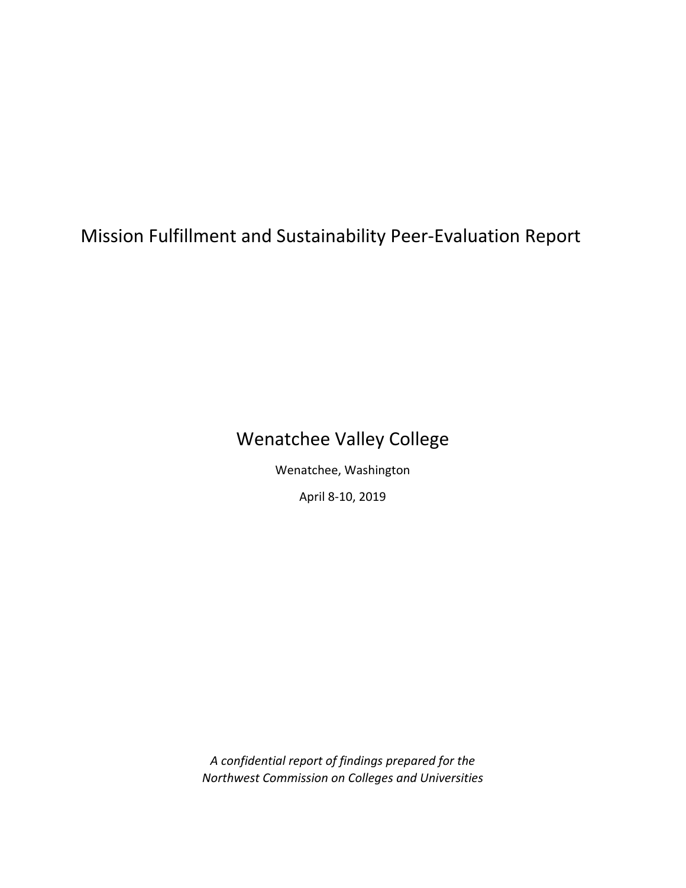# Mission Fulfillment and Sustainability Peer‐Evaluation Report

# Wenatchee Valley College

Wenatchee, Washington

April 8‐10, 2019

*A confidential report of findings prepared for the Northwest Commission on Colleges and Universities*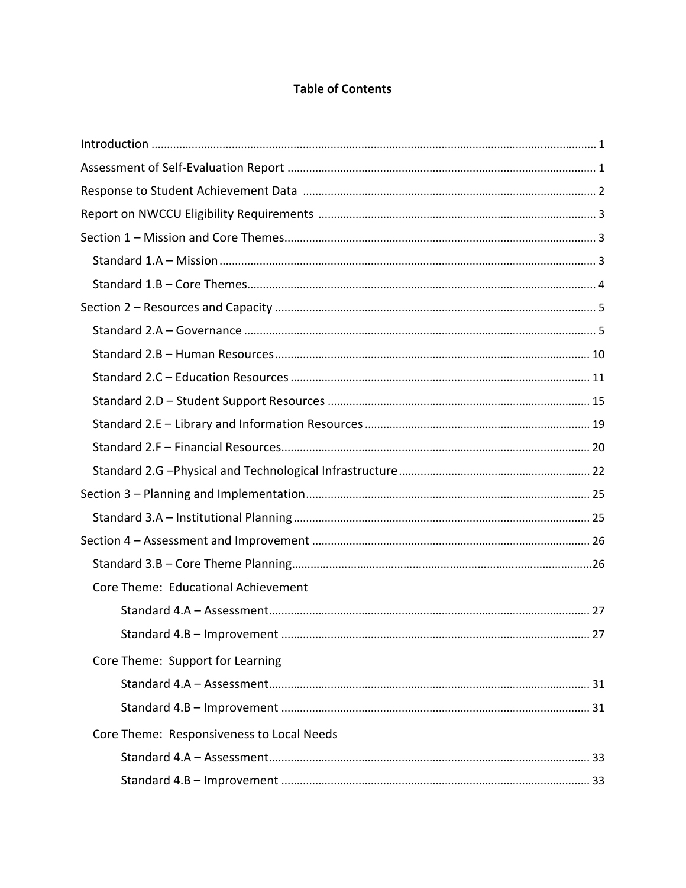# **Table of Contents**

| Core Theme: Educational Achievement       |
|-------------------------------------------|
|                                           |
|                                           |
| Core Theme: Support for Learning          |
|                                           |
|                                           |
| Core Theme: Responsiveness to Local Needs |
|                                           |
|                                           |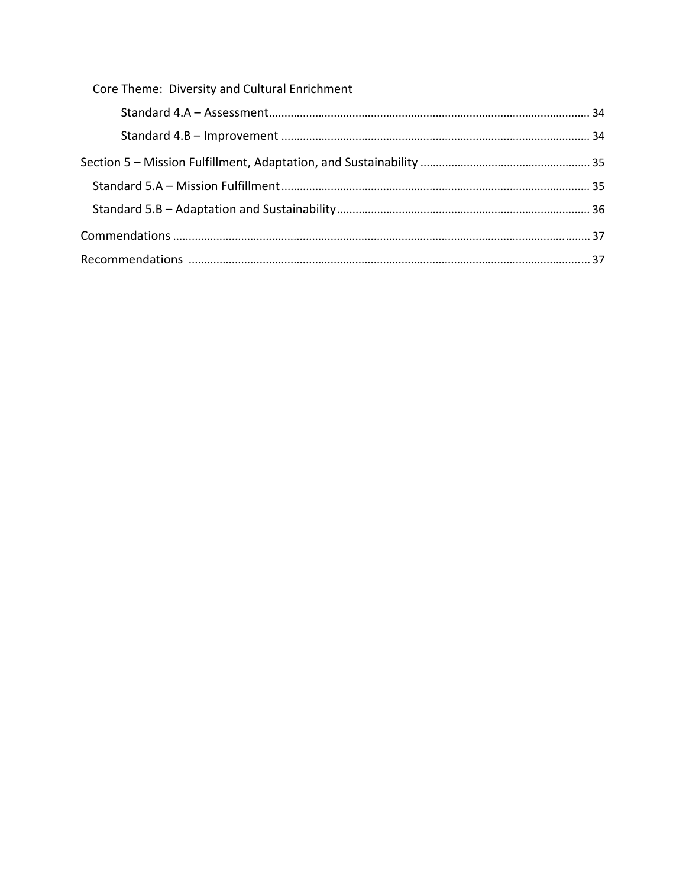| Core Theme: Diversity and Cultural Enrichment |  |
|-----------------------------------------------|--|
|                                               |  |
|                                               |  |
|                                               |  |
|                                               |  |
|                                               |  |
|                                               |  |
|                                               |  |
|                                               |  |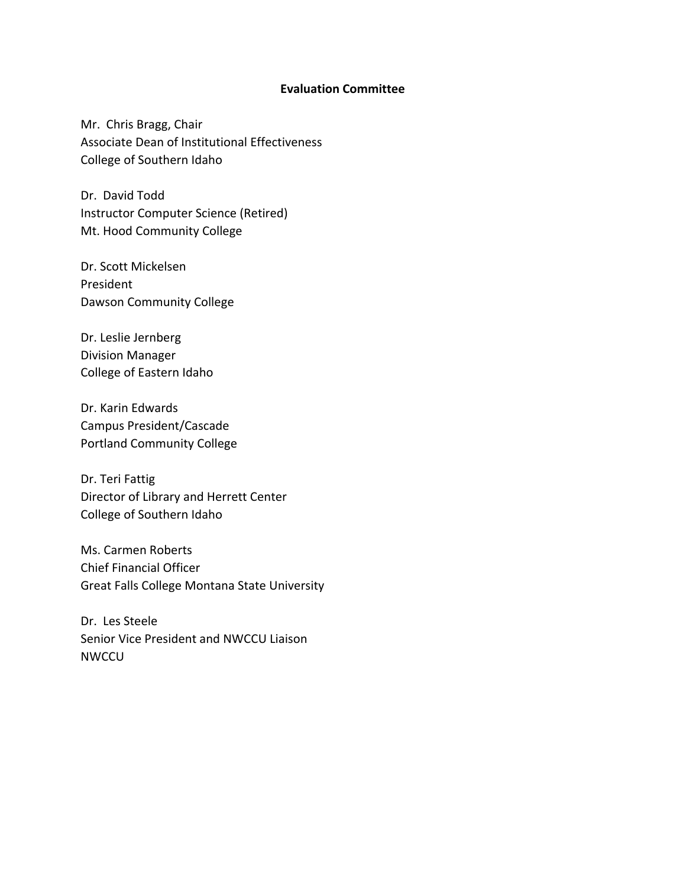#### **Evaluation Committee**

Mr. Chris Bragg, Chair Associate Dean of Institutional Effectiveness College of Southern Idaho

Dr. David Todd Instructor Computer Science (Retired) Mt. Hood Community College

Dr. Scott Mickelsen President Dawson Community College

Dr. Leslie Jernberg Division Manager College of Eastern Idaho

Dr. Karin Edwards Campus President/Cascade Portland Community College

Dr. Teri Fattig Director of Library and Herrett Center College of Southern Idaho

Ms. Carmen Roberts Chief Financial Officer Great Falls College Montana State University

Dr. Les Steele Senior Vice President and NWCCU Liaison NWCCU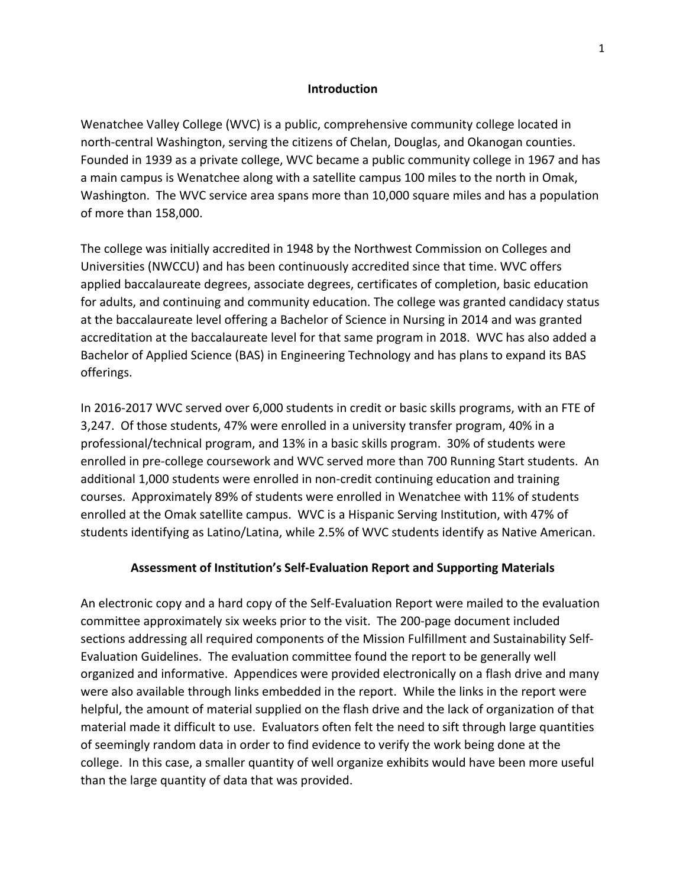#### **Introduction**

Wenatchee Valley College (WVC) is a public, comprehensive community college located in north-central Washington, serving the citizens of Chelan, Douglas, and Okanogan counties. Founded in 1939 as a private college, WVC became a public community college in 1967 and has a main campus is Wenatchee along with a satellite campus 100 miles to the north in Omak, Washington. The WVC service area spans more than 10,000 square miles and has a population of more than 158,000.

The college was initially accredited in 1948 by the Northwest Commission on Colleges and Universities (NWCCU) and has been continuously accredited since that time. WVC offers applied baccalaureate degrees, associate degrees, certificates of completion, basic education for adults, and continuing and community education. The college was granted candidacy status at the baccalaureate level offering a Bachelor of Science in Nursing in 2014 and was granted accreditation at the baccalaureate level for that same program in 2018. WVC has also added a Bachelor of Applied Science (BAS) in Engineering Technology and has plans to expand its BAS offerings.

In 2016‐2017 WVC served over 6,000 students in credit or basic skills programs, with an FTE of 3,247. Of those students, 47% were enrolled in a university transfer program, 40% in a professional/technical program, and 13% in a basic skills program. 30% of students were enrolled in pre-college coursework and WVC served more than 700 Running Start students. An additional 1,000 students were enrolled in non‐credit continuing education and training courses. Approximately 89% of students were enrolled in Wenatchee with 11% of students enrolled at the Omak satellite campus. WVC is a Hispanic Serving Institution, with 47% of students identifying as Latino/Latina, while 2.5% of WVC students identify as Native American.

#### **Assessment of Institution's Self‐Evaluation Report and Supporting Materials**

An electronic copy and a hard copy of the Self‐Evaluation Report were mailed to the evaluation committee approximately six weeks prior to the visit. The 200‐page document included sections addressing all required components of the Mission Fulfillment and Sustainability Self‐ Evaluation Guidelines. The evaluation committee found the report to be generally well organized and informative. Appendices were provided electronically on a flash drive and many were also available through links embedded in the report. While the links in the report were helpful, the amount of material supplied on the flash drive and the lack of organization of that material made it difficult to use. Evaluators often felt the need to sift through large quantities of seemingly random data in order to find evidence to verify the work being done at the college. In this case, a smaller quantity of well organize exhibits would have been more useful than the large quantity of data that was provided.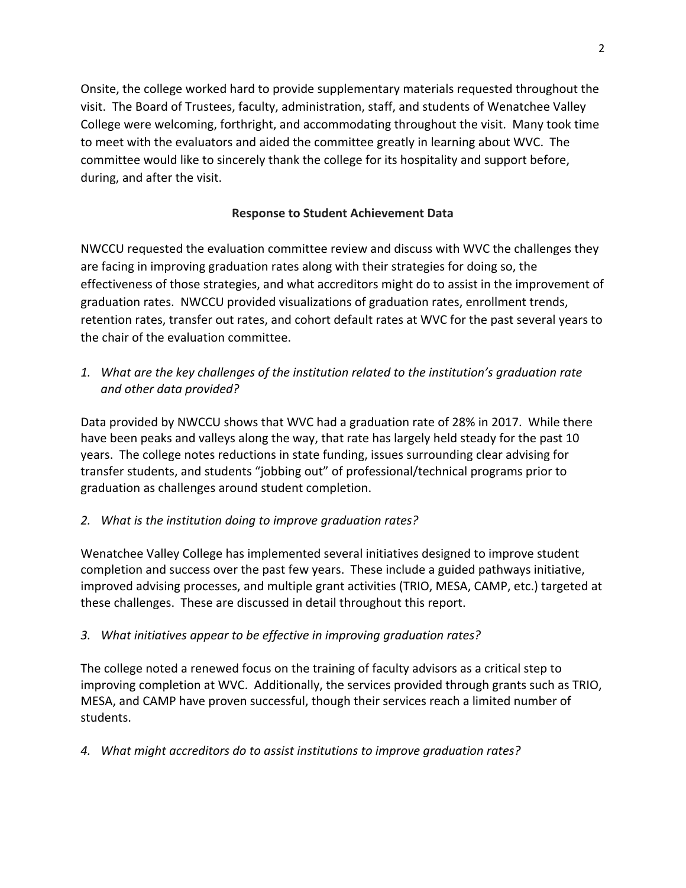Onsite, the college worked hard to provide supplementary materials requested throughout the visit. The Board of Trustees, faculty, administration, staff, and students of Wenatchee Valley College were welcoming, forthright, and accommodating throughout the visit. Many took time to meet with the evaluators and aided the committee greatly in learning about WVC. The committee would like to sincerely thank the college for its hospitality and support before, during, and after the visit.

## **Response to Student Achievement Data**

NWCCU requested the evaluation committee review and discuss with WVC the challenges they are facing in improving graduation rates along with their strategies for doing so, the effectiveness of those strategies, and what accreditors might do to assist in the improvement of graduation rates. NWCCU provided visualizations of graduation rates, enrollment trends, retention rates, transfer out rates, and cohort default rates at WVC for the past several years to the chair of the evaluation committee.

*1. What are the key challenges of the institution related to the institution's graduation rate and other data provided?*

Data provided by NWCCU shows that WVC had a graduation rate of 28% in 2017. While there have been peaks and valleys along the way, that rate has largely held steady for the past 10 years. The college notes reductions in state funding, issues surrounding clear advising for transfer students, and students "jobbing out" of professional/technical programs prior to graduation as challenges around student completion.

### *2. What is the institution doing to improve graduation rates?*

Wenatchee Valley College has implemented several initiatives designed to improve student completion and success over the past few years. These include a guided pathways initiative, improved advising processes, and multiple grant activities (TRIO, MESA, CAMP, etc.) targeted at these challenges. These are discussed in detail throughout this report.

### *3. What initiatives appear to be effective in improving graduation rates?*

The college noted a renewed focus on the training of faculty advisors as a critical step to improving completion at WVC. Additionally, the services provided through grants such as TRIO, MESA, and CAMP have proven successful, though their services reach a limited number of students.

### *4. What might accreditors do to assist institutions to improve graduation rates?*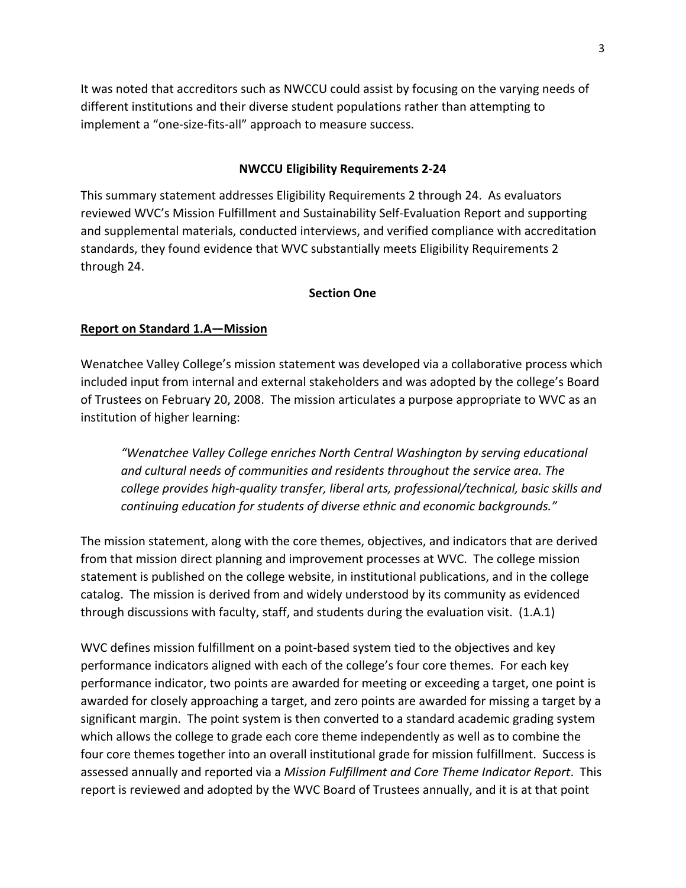It was noted that accreditors such as NWCCU could assist by focusing on the varying needs of different institutions and their diverse student populations rather than attempting to implement a "one‐size‐fits‐all" approach to measure success.

#### **NWCCU Eligibility Requirements 2‐24**

This summary statement addresses Eligibility Requirements 2 through 24. As evaluators reviewed WVC's Mission Fulfillment and Sustainability Self‐Evaluation Report and supporting and supplemental materials, conducted interviews, and verified compliance with accreditation standards, they found evidence that WVC substantially meets Eligibility Requirements 2 through 24.

#### **Section One**

#### **Report on Standard 1.A—Mission**

Wenatchee Valley College's mission statement was developed via a collaborative process which included input from internal and external stakeholders and was adopted by the college's Board of Trustees on February 20, 2008. The mission articulates a purpose appropriate to WVC as an institution of higher learning:

*"Wenatchee Valley College enriches North Central Washington by serving educational and cultural needs of communities and residents throughout the service area. The college provides high‐quality transfer, liberal arts, professional/technical, basic skills and continuing education for students of diverse ethnic and economic backgrounds."* 

The mission statement, along with the core themes, objectives, and indicators that are derived from that mission direct planning and improvement processes at WVC. The college mission statement is published on the college website, in institutional publications, and in the college catalog. The mission is derived from and widely understood by its community as evidenced through discussions with faculty, staff, and students during the evaluation visit. (1.A.1)

WVC defines mission fulfillment on a point-based system tied to the objectives and key performance indicators aligned with each of the college's four core themes. For each key performance indicator, two points are awarded for meeting or exceeding a target, one point is awarded for closely approaching a target, and zero points are awarded for missing a target by a significant margin. The point system is then converted to a standard academic grading system which allows the college to grade each core theme independently as well as to combine the four core themes together into an overall institutional grade for mission fulfillment. Success is assessed annually and reported via a *Mission Fulfillment and Core Theme Indicator Report*. This report is reviewed and adopted by the WVC Board of Trustees annually, and it is at that point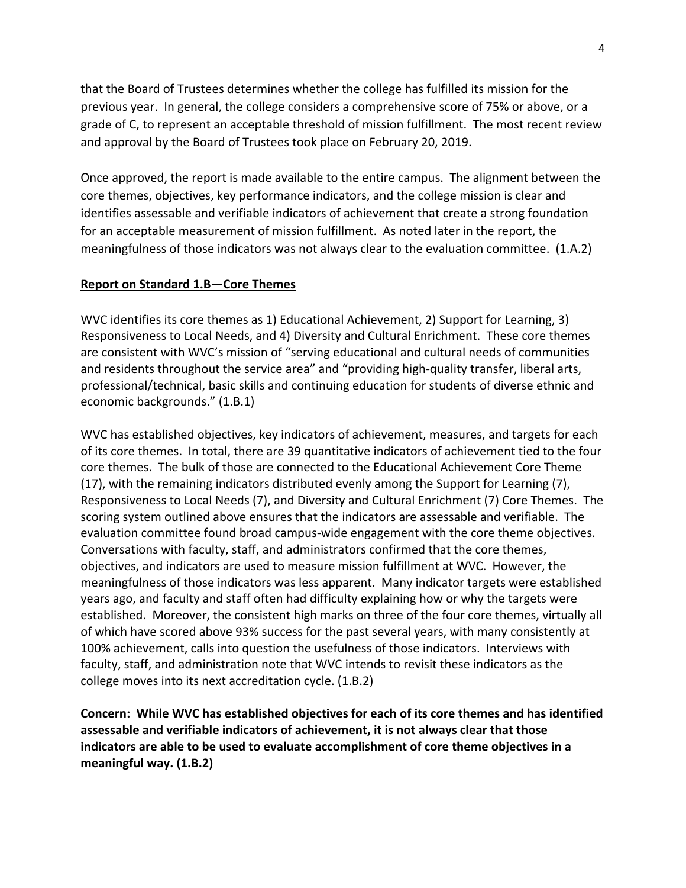that the Board of Trustees determines whether the college has fulfilled its mission for the previous year. In general, the college considers a comprehensive score of 75% or above, or a grade of C, to represent an acceptable threshold of mission fulfillment. The most recent review and approval by the Board of Trustees took place on February 20, 2019.

Once approved, the report is made available to the entire campus. The alignment between the core themes, objectives, key performance indicators, and the college mission is clear and identifies assessable and verifiable indicators of achievement that create a strong foundation for an acceptable measurement of mission fulfillment. As noted later in the report, the meaningfulness of those indicators was not always clear to the evaluation committee. (1.A.2)

#### **Report on Standard 1.B—Core Themes**

WVC identifies its core themes as 1) Educational Achievement, 2) Support for Learning, 3) Responsiveness to Local Needs, and 4) Diversity and Cultural Enrichment. These core themes are consistent with WVC's mission of "serving educational and cultural needs of communities and residents throughout the service area" and "providing high-quality transfer, liberal arts, professional/technical, basic skills and continuing education for students of diverse ethnic and economic backgrounds." (1.B.1)

WVC has established objectives, key indicators of achievement, measures, and targets for each of its core themes. In total, there are 39 quantitative indicators of achievement tied to the four core themes. The bulk of those are connected to the Educational Achievement Core Theme (17), with the remaining indicators distributed evenly among the Support for Learning (7), Responsiveness to Local Needs (7), and Diversity and Cultural Enrichment (7) Core Themes. The scoring system outlined above ensures that the indicators are assessable and verifiable. The evaluation committee found broad campus‐wide engagement with the core theme objectives. Conversations with faculty, staff, and administrators confirmed that the core themes, objectives, and indicators are used to measure mission fulfillment at WVC. However, the meaningfulness of those indicators was less apparent. Many indicator targets were established years ago, and faculty and staff often had difficulty explaining how or why the targets were established. Moreover, the consistent high marks on three of the four core themes, virtually all of which have scored above 93% success for the past several years, with many consistently at 100% achievement, calls into question the usefulness of those indicators. Interviews with faculty, staff, and administration note that WVC intends to revisit these indicators as the college moves into its next accreditation cycle. (1.B.2)

**Concern: While WVC has established objectives for each of its core themes and has identified assessable and verifiable indicators of achievement, it is not always clear that those indicators are able to be used to evaluate accomplishment of core theme objectives in a meaningful way. (1.B.2)**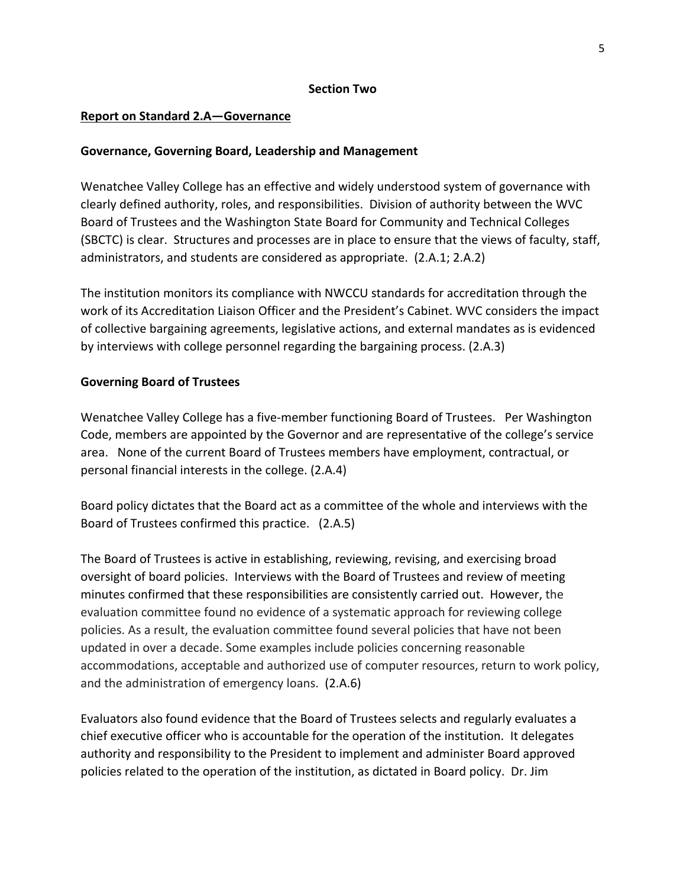#### **Section Two**

#### **Report on Standard 2.A—Governance**

#### **Governance, Governing Board, Leadership and Management**

Wenatchee Valley College has an effective and widely understood system of governance with clearly defined authority, roles, and responsibilities. Division of authority between the WVC Board of Trustees and the Washington State Board for Community and Technical Colleges (SBCTC) is clear. Structures and processes are in place to ensure that the views of faculty, staff, administrators, and students are considered as appropriate. (2.A.1; 2.A.2)

The institution monitors its compliance with NWCCU standards for accreditation through the work of its Accreditation Liaison Officer and the President's Cabinet. WVC considers the impact of collective bargaining agreements, legislative actions, and external mandates as is evidenced by interviews with college personnel regarding the bargaining process. (2.A.3)

#### **Governing Board of Trustees**

Wenatchee Valley College has a five-member functioning Board of Trustees. Per Washington Code, members are appointed by the Governor and are representative of the college's service area. None of the current Board of Trustees members have employment, contractual, or personal financial interests in the college. (2.A.4)

Board policy dictates that the Board act as a committee of the whole and interviews with the Board of Trustees confirmed this practice. (2.A.5)

The Board of Trustees is active in establishing, reviewing, revising, and exercising broad oversight of board policies. Interviews with the Board of Trustees and review of meeting minutes confirmed that these responsibilities are consistently carried out. However, the evaluation committee found no evidence of a systematic approach for reviewing college policies. As a result, the evaluation committee found several policies that have not been updated in over a decade. Some examples include policies concerning reasonable accommodations, acceptable and authorized use of computer resources, return to work policy, and the administration of emergency loans. (2.A.6)

Evaluators also found evidence that the Board of Trustees selects and regularly evaluates a chief executive officer who is accountable for the operation of the institution. It delegates authority and responsibility to the President to implement and administer Board approved policies related to the operation of the institution, as dictated in Board policy. Dr. Jim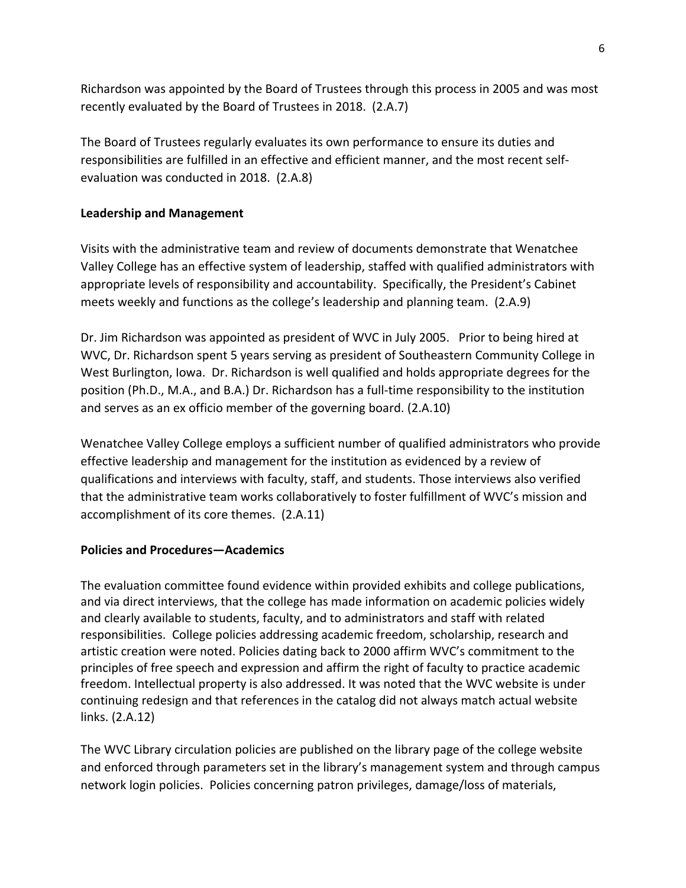Richardson was appointed by the Board of Trustees through this process in 2005 and was most recently evaluated by the Board of Trustees in 2018. (2.A.7)

The Board of Trustees regularly evaluates its own performance to ensure its duties and responsibilities are fulfilled in an effective and efficient manner, and the most recent self‐ evaluation was conducted in 2018. (2.A.8)

### **Leadership and Management**

Visits with the administrative team and review of documents demonstrate that Wenatchee Valley College has an effective system of leadership, staffed with qualified administrators with appropriate levels of responsibility and accountability. Specifically, the President's Cabinet meets weekly and functions as the college's leadership and planning team. (2.A.9)

Dr. Jim Richardson was appointed as president of WVC in July 2005. Prior to being hired at WVC, Dr. Richardson spent 5 years serving as president of Southeastern Community College in West Burlington, Iowa. Dr. Richardson is well qualified and holds appropriate degrees for the position (Ph.D., M.A., and B.A.) Dr. Richardson has a full‐time responsibility to the institution and serves as an ex officio member of the governing board. (2.A.10)

Wenatchee Valley College employs a sufficient number of qualified administrators who provide effective leadership and management for the institution as evidenced by a review of qualifications and interviews with faculty, staff, and students. Those interviews also verified that the administrative team works collaboratively to foster fulfillment of WVC's mission and accomplishment of its core themes. (2.A.11)

### **Policies and Procedures—Academics**

The evaluation committee found evidence within provided exhibits and college publications, and via direct interviews, that the college has made information on academic policies widely and clearly available to students, faculty, and to administrators and staff with related responsibilities. College policies addressing academic freedom, scholarship, research and artistic creation were noted. Policies dating back to 2000 affirm WVC's commitment to the principles of free speech and expression and affirm the right of faculty to practice academic freedom. Intellectual property is also addressed. It was noted that the WVC website is under continuing redesign and that references in the catalog did not always match actual website links. (2.A.12)

The WVC Library circulation policies are published on the library page of the college website and enforced through parameters set in the library's management system and through campus network login policies. Policies concerning patron privileges, damage/loss of materials,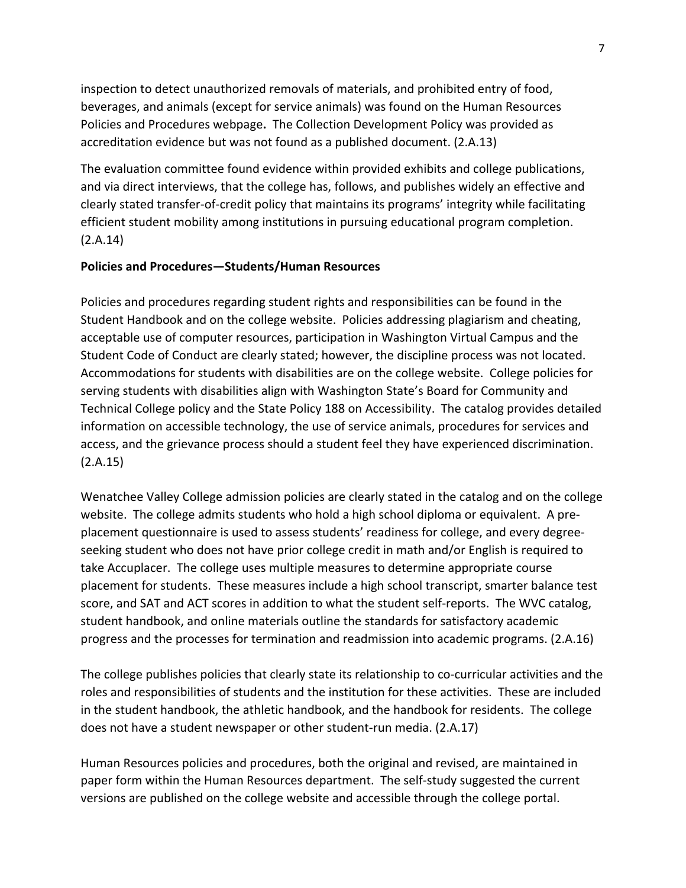inspection to detect unauthorized removals of materials, and prohibited entry of food, beverages, and animals (except for service animals) was found on the Human Resources Policies and Procedures webpage**.** The Collection Development Policy was provided as accreditation evidence but was not found as a published document. (2.A.13)

The evaluation committee found evidence within provided exhibits and college publications, and via direct interviews, that the college has, follows, and publishes widely an effective and clearly stated transfer‐of‐credit policy that maintains its programs' integrity while facilitating efficient student mobility among institutions in pursuing educational program completion. (2.A.14)

#### **Policies and Procedures—Students/Human Resources**

Policies and procedures regarding student rights and responsibilities can be found in the Student Handbook and on the college website. Policies addressing plagiarism and cheating, acceptable use of computer resources, participation in Washington Virtual Campus and the Student Code of Conduct are clearly stated; however, the discipline process was not located. Accommodations for students with disabilities are on the college website. College policies for serving students with disabilities align with Washington State's Board for Community and Technical College policy and the State Policy 188 on Accessibility. The catalog provides detailed information on accessible technology, the use of service animals, procedures for services and access, and the grievance process should a student feel they have experienced discrimination. (2.A.15)

Wenatchee Valley College admission policies are clearly stated in the catalog and on the college website. The college admits students who hold a high school diploma or equivalent. A preplacement questionnaire is used to assess students' readiness for college, and every degree‐ seeking student who does not have prior college credit in math and/or English is required to take Accuplacer. The college uses multiple measures to determine appropriate course placement for students. These measures include a high school transcript, smarter balance test score, and SAT and ACT scores in addition to what the student self-reports. The WVC catalog, student handbook, and online materials outline the standards for satisfactory academic progress and the processes for termination and readmission into academic programs. (2.A.16)

The college publishes policies that clearly state its relationship to co-curricular activities and the roles and responsibilities of students and the institution for these activities. These are included in the student handbook, the athletic handbook, and the handbook for residents. The college does not have a student newspaper or other student‐run media. (2.A.17)

Human Resources policies and procedures, both the original and revised, are maintained in paper form within the Human Resources department. The self‐study suggested the current versions are published on the college website and accessible through the college portal.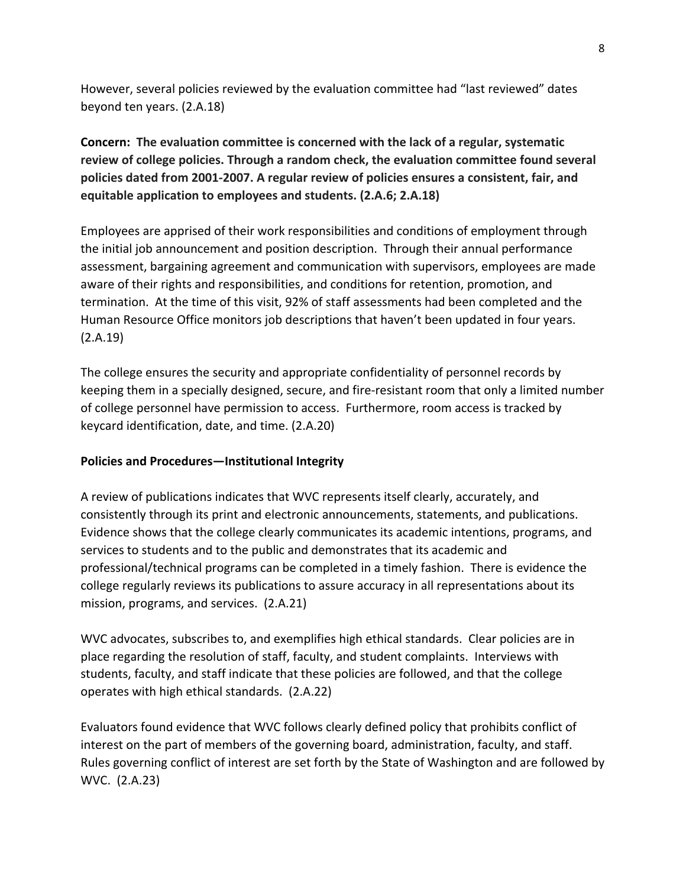However, several policies reviewed by the evaluation committee had "last reviewed" dates beyond ten years. (2.A.18)

**Concern: The evaluation committee is concerned with the lack of a regular, systematic review of college policies. Through a random check, the evaluation committee found several policies dated from 2001‐2007. A regular review of policies ensures a consistent, fair, and equitable application to employees and students. (2.A.6; 2.A.18)**

Employees are apprised of their work responsibilities and conditions of employment through the initial job announcement and position description. Through their annual performance assessment, bargaining agreement and communication with supervisors, employees are made aware of their rights and responsibilities, and conditions for retention, promotion, and termination. At the time of this visit, 92% of staff assessments had been completed and the Human Resource Office monitors job descriptions that haven't been updated in four years. (2.A.19)

The college ensures the security and appropriate confidentiality of personnel records by keeping them in a specially designed, secure, and fire-resistant room that only a limited number of college personnel have permission to access. Furthermore, room access is tracked by keycard identification, date, and time. (2.A.20)

#### **Policies and Procedures—Institutional Integrity**

A review of publications indicates that WVC represents itself clearly, accurately, and consistently through its print and electronic announcements, statements, and publications. Evidence shows that the college clearly communicates its academic intentions, programs, and services to students and to the public and demonstrates that its academic and professional/technical programs can be completed in a timely fashion. There is evidence the college regularly reviews its publications to assure accuracy in all representations about its mission, programs, and services. (2.A.21)

WVC advocates, subscribes to, and exemplifies high ethical standards. Clear policies are in place regarding the resolution of staff, faculty, and student complaints. Interviews with students, faculty, and staff indicate that these policies are followed, and that the college operates with high ethical standards. (2.A.22)

Evaluators found evidence that WVC follows clearly defined policy that prohibits conflict of interest on the part of members of the governing board, administration, faculty, and staff. Rules governing conflict of interest are set forth by the State of Washington and are followed by WVC. (2.A.23)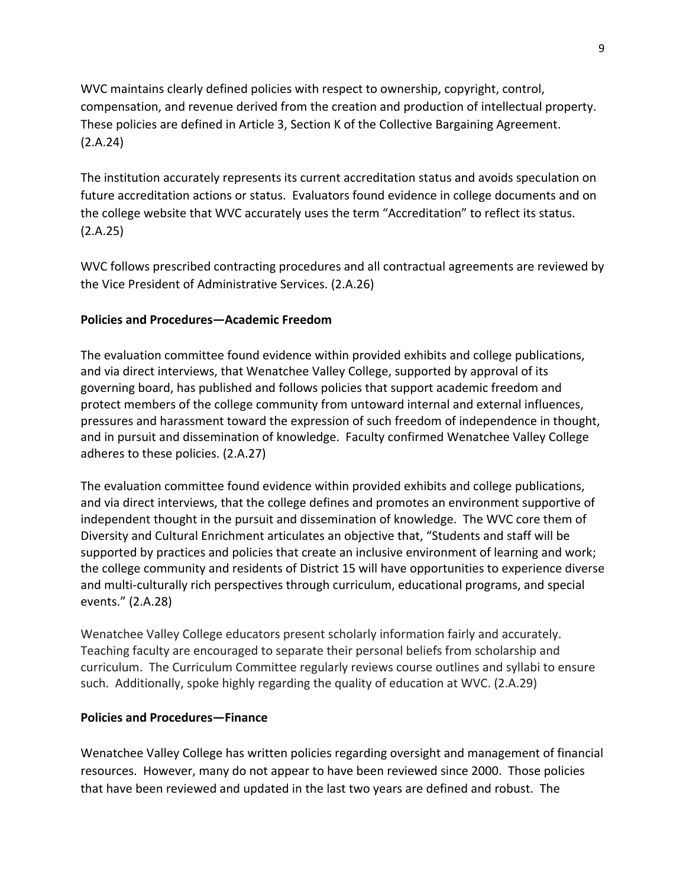WVC maintains clearly defined policies with respect to ownership, copyright, control, compensation, and revenue derived from the creation and production of intellectual property. These policies are defined in Article 3, Section K of the Collective Bargaining Agreement. (2.A.24)

The institution accurately represents its current accreditation status and avoids speculation on future accreditation actions or status. Evaluators found evidence in college documents and on the college website that WVC accurately uses the term "Accreditation" to reflect its status. (2.A.25)

WVC follows prescribed contracting procedures and all contractual agreements are reviewed by the Vice President of Administrative Services. (2.A.26)

### **Policies and Procedures—Academic Freedom**

The evaluation committee found evidence within provided exhibits and college publications, and via direct interviews, that Wenatchee Valley College, supported by approval of its governing board, has published and follows policies that support academic freedom and protect members of the college community from untoward internal and external influences, pressures and harassment toward the expression of such freedom of independence in thought, and in pursuit and dissemination of knowledge. Faculty confirmed Wenatchee Valley College adheres to these policies. (2.A.27)

The evaluation committee found evidence within provided exhibits and college publications, and via direct interviews, that the college defines and promotes an environment supportive of independent thought in the pursuit and dissemination of knowledge. The WVC core them of Diversity and Cultural Enrichment articulates an objective that, "Students and staff will be supported by practices and policies that create an inclusive environment of learning and work; the college community and residents of District 15 will have opportunities to experience diverse and multi-culturally rich perspectives through curriculum, educational programs, and special events." (2.A.28)

Wenatchee Valley College educators present scholarly information fairly and accurately. Teaching faculty are encouraged to separate their personal beliefs from scholarship and curriculum. The Curriculum Committee regularly reviews course outlines and syllabi to ensure such. Additionally, spoke highly regarding the quality of education at WVC. (2.A.29)

### **Policies and Procedures—Finance**

Wenatchee Valley College has written policies regarding oversight and management of financial resources. However, many do not appear to have been reviewed since 2000. Those policies that have been reviewed and updated in the last two years are defined and robust. The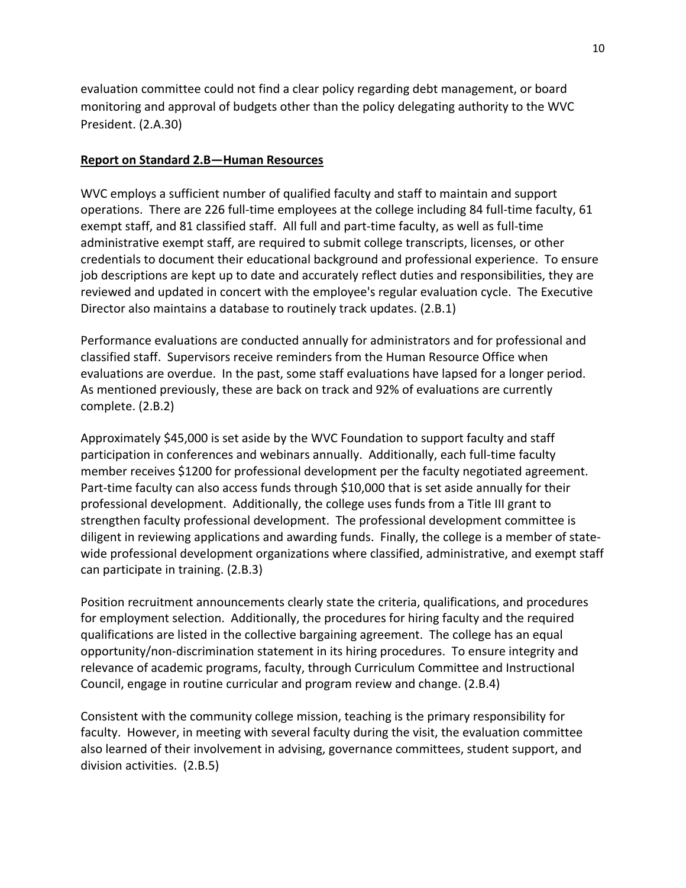evaluation committee could not find a clear policy regarding debt management, or board monitoring and approval of budgets other than the policy delegating authority to the WVC President. (2.A.30)

#### **Report on Standard 2.B—Human Resources**

WVC employs a sufficient number of qualified faculty and staff to maintain and support operations. There are 226 full-time employees at the college including 84 full-time faculty, 61 exempt staff, and 81 classified staff. All full and part‐time faculty, as well as full‐time administrative exempt staff, are required to submit college transcripts, licenses, or other credentials to document their educational background and professional experience. To ensure job descriptions are kept up to date and accurately reflect duties and responsibilities, they are reviewed and updated in concert with the employee's regular evaluation cycle. The Executive Director also maintains a database to routinely track updates. (2.B.1)

Performance evaluations are conducted annually for administrators and for professional and classified staff. Supervisors receive reminders from the Human Resource Office when evaluations are overdue. In the past, some staff evaluations have lapsed for a longer period. As mentioned previously, these are back on track and 92% of evaluations are currently complete. (2.B.2)

Approximately \$45,000 is set aside by the WVC Foundation to support faculty and staff participation in conferences and webinars annually. Additionally, each full‐time faculty member receives \$1200 for professional development per the faculty negotiated agreement. Part-time faculty can also access funds through \$10,000 that is set aside annually for their professional development. Additionally, the college uses funds from a Title III grant to strengthen faculty professional development. The professional development committee is diligent in reviewing applications and awarding funds. Finally, the college is a member of state‐ wide professional development organizations where classified, administrative, and exempt staff can participate in training. (2.B.3)

Position recruitment announcements clearly state the criteria, qualifications, and procedures for employment selection. Additionally, the procedures for hiring faculty and the required qualifications are listed in the collective bargaining agreement. The college has an equal opportunity/non‐discrimination statement in its hiring procedures. To ensure integrity and relevance of academic programs, faculty, through Curriculum Committee and Instructional Council, engage in routine curricular and program review and change. (2.B.4)

Consistent with the community college mission, teaching is the primary responsibility for faculty. However, in meeting with several faculty during the visit, the evaluation committee also learned of their involvement in advising, governance committees, student support, and division activities. (2.B.5)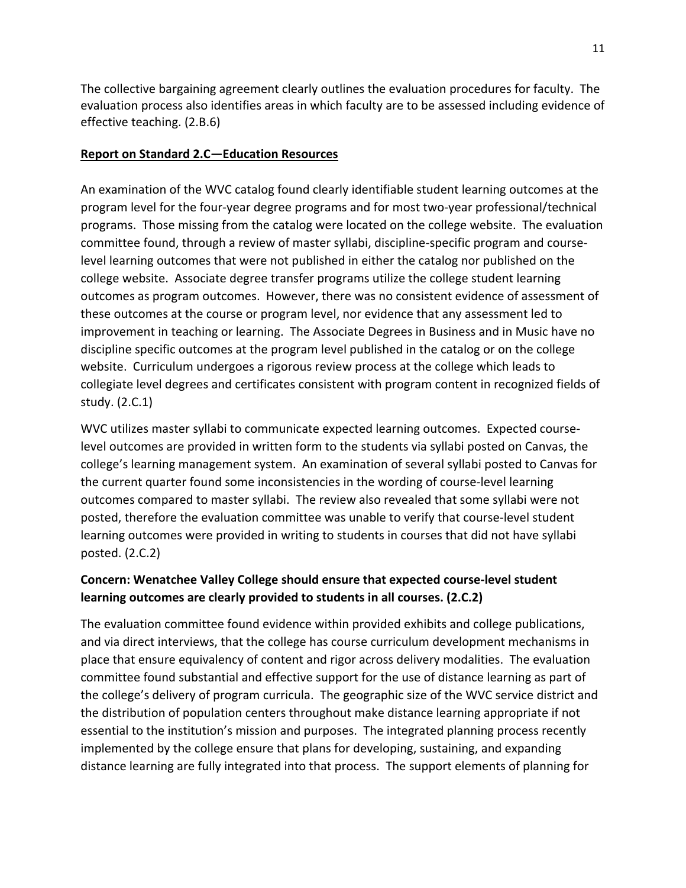The collective bargaining agreement clearly outlines the evaluation procedures for faculty. The evaluation process also identifies areas in which faculty are to be assessed including evidence of effective teaching. (2.B.6)

### **Report on Standard 2.C—Education Resources**

An examination of the WVC catalog found clearly identifiable student learning outcomes at the program level for the four‐year degree programs and for most two‐year professional/technical programs. Those missing from the catalog were located on the college website. The evaluation committee found, through a review of master syllabi, discipline‐specific program and course‐ level learning outcomes that were not published in either the catalog nor published on the college website. Associate degree transfer programs utilize the college student learning outcomes as program outcomes. However, there was no consistent evidence of assessment of these outcomes at the course or program level, nor evidence that any assessment led to improvement in teaching or learning. The Associate Degrees in Business and in Music have no discipline specific outcomes at the program level published in the catalog or on the college website. Curriculum undergoes a rigorous review process at the college which leads to collegiate level degrees and certificates consistent with program content in recognized fields of study. (2.C.1)

WVC utilizes master syllabi to communicate expected learning outcomes. Expected course‐ level outcomes are provided in written form to the students via syllabi posted on Canvas, the college's learning management system. An examination of several syllabi posted to Canvas for the current quarter found some inconsistencies in the wording of course‐level learning outcomes compared to master syllabi. The review also revealed that some syllabi were not posted, therefore the evaluation committee was unable to verify that course‐level student learning outcomes were provided in writing to students in courses that did not have syllabi posted. (2.C.2)

# **Concern: Wenatchee Valley College should ensure that expected course‐level student learning outcomes are clearly provided to students in all courses. (2.C.2)**

The evaluation committee found evidence within provided exhibits and college publications, and via direct interviews, that the college has course curriculum development mechanisms in place that ensure equivalency of content and rigor across delivery modalities. The evaluation committee found substantial and effective support for the use of distance learning as part of the college's delivery of program curricula. The geographic size of the WVC service district and the distribution of population centers throughout make distance learning appropriate if not essential to the institution's mission and purposes. The integrated planning process recently implemented by the college ensure that plans for developing, sustaining, and expanding distance learning are fully integrated into that process. The support elements of planning for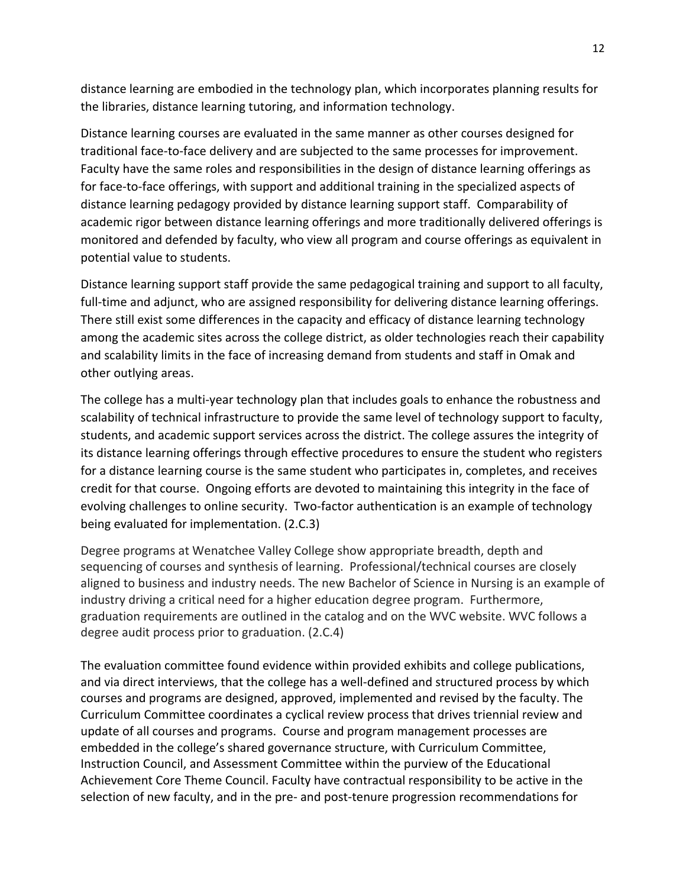distance learning are embodied in the technology plan, which incorporates planning results for the libraries, distance learning tutoring, and information technology.

Distance learning courses are evaluated in the same manner as other courses designed for traditional face‐to‐face delivery and are subjected to the same processes for improvement. Faculty have the same roles and responsibilities in the design of distance learning offerings as for face‐to‐face offerings, with support and additional training in the specialized aspects of distance learning pedagogy provided by distance learning support staff. Comparability of academic rigor between distance learning offerings and more traditionally delivered offerings is monitored and defended by faculty, who view all program and course offerings as equivalent in potential value to students.

Distance learning support staff provide the same pedagogical training and support to all faculty, full-time and adjunct, who are assigned responsibility for delivering distance learning offerings. There still exist some differences in the capacity and efficacy of distance learning technology among the academic sites across the college district, as older technologies reach their capability and scalability limits in the face of increasing demand from students and staff in Omak and other outlying areas.

The college has a multi-year technology plan that includes goals to enhance the robustness and scalability of technical infrastructure to provide the same level of technology support to faculty, students, and academic support services across the district. The college assures the integrity of its distance learning offerings through effective procedures to ensure the student who registers for a distance learning course is the same student who participates in, completes, and receives credit for that course. Ongoing efforts are devoted to maintaining this integrity in the face of evolving challenges to online security. Two‐factor authentication is an example of technology being evaluated for implementation. (2.C.3)

Degree programs at Wenatchee Valley College show appropriate breadth, depth and sequencing of courses and synthesis of learning. Professional/technical courses are closely aligned to business and industry needs. The new Bachelor of Science in Nursing is an example of industry driving a critical need for a higher education degree program. Furthermore, graduation requirements are outlined in the catalog and on the WVC website. WVC follows a degree audit process prior to graduation. (2.C.4)

The evaluation committee found evidence within provided exhibits and college publications, and via direct interviews, that the college has a well-defined and structured process by which courses and programs are designed, approved, implemented and revised by the faculty. The Curriculum Committee coordinates a cyclical review process that drives triennial review and update of all courses and programs. Course and program management processes are embedded in the college's shared governance structure, with Curriculum Committee, Instruction Council, and Assessment Committee within the purview of the Educational Achievement Core Theme Council. Faculty have contractual responsibility to be active in the selection of new faculty, and in the pre‐ and post‐tenure progression recommendations for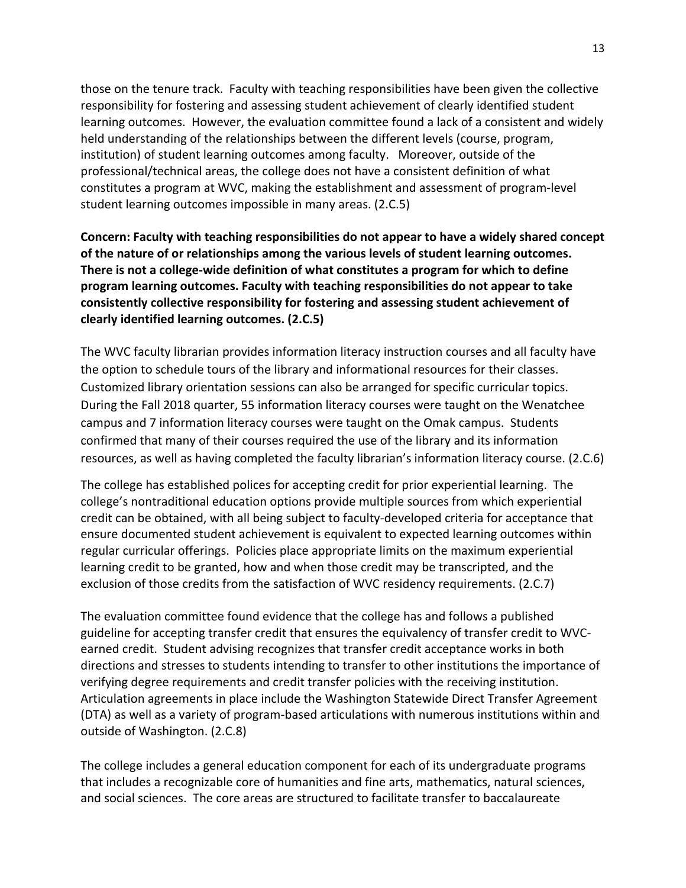those on the tenure track. Faculty with teaching responsibilities have been given the collective responsibility for fostering and assessing student achievement of clearly identified student learning outcomes. However, the evaluation committee found a lack of a consistent and widely held understanding of the relationships between the different levels (course, program, institution) of student learning outcomes among faculty. Moreover, outside of the professional/technical areas, the college does not have a consistent definition of what constitutes a program at WVC, making the establishment and assessment of program‐level student learning outcomes impossible in many areas. (2.C.5)

**Concern: Faculty with teaching responsibilities do not appear to have a widely shared concept of the nature of or relationships among the various levels of student learning outcomes. There is not a college‐wide definition of what constitutes a program for which to define program learning outcomes. Faculty with teaching responsibilities do not appear to take consistently collective responsibility for fostering and assessing student achievement of clearly identified learning outcomes. (2.C.5)**

The WVC faculty librarian provides information literacy instruction courses and all faculty have the option to schedule tours of the library and informational resources for their classes. Customized library orientation sessions can also be arranged for specific curricular topics. During the Fall 2018 quarter, 55 information literacy courses were taught on the Wenatchee campus and 7 information literacy courses were taught on the Omak campus. Students confirmed that many of their courses required the use of the library and its information resources, as well as having completed the faculty librarian's information literacy course. (2.C.6)

The college has established polices for accepting credit for prior experiential learning. The college's nontraditional education options provide multiple sources from which experiential credit can be obtained, with all being subject to faculty‐developed criteria for acceptance that ensure documented student achievement is equivalent to expected learning outcomes within regular curricular offerings. Policies place appropriate limits on the maximum experiential learning credit to be granted, how and when those credit may be transcripted, and the exclusion of those credits from the satisfaction of WVC residency requirements. (2.C.7)

The evaluation committee found evidence that the college has and follows a published guideline for accepting transfer credit that ensures the equivalency of transfer credit to WVC‐ earned credit. Student advising recognizes that transfer credit acceptance works in both directions and stresses to students intending to transfer to other institutions the importance of verifying degree requirements and credit transfer policies with the receiving institution. Articulation agreements in place include the Washington Statewide Direct Transfer Agreement (DTA) as well as a variety of program‐based articulations with numerous institutions within and outside of Washington. (2.C.8)

The college includes a general education component for each of its undergraduate programs that includes a recognizable core of humanities and fine arts, mathematics, natural sciences, and social sciences. The core areas are structured to facilitate transfer to baccalaureate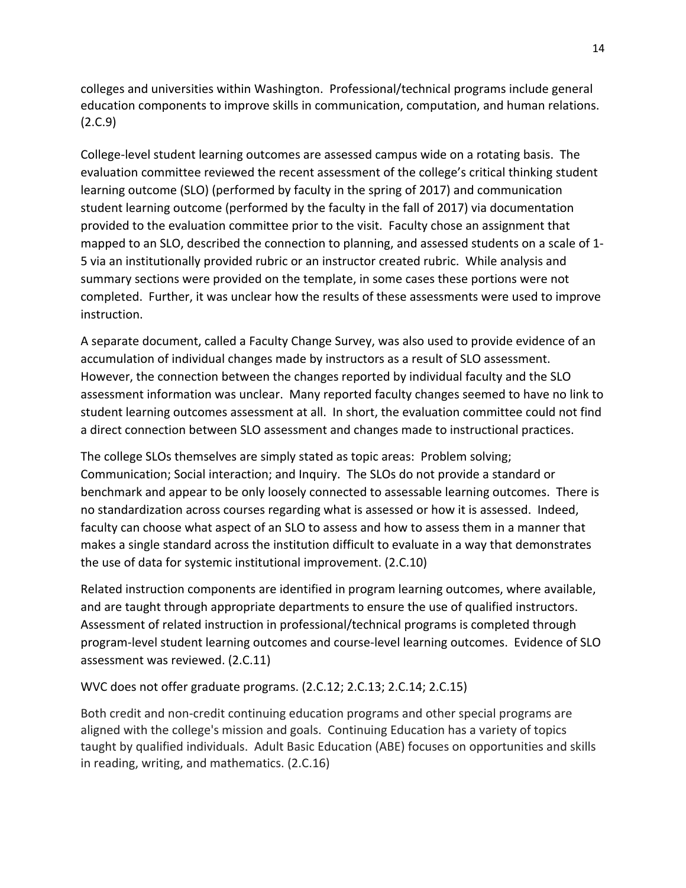colleges and universities within Washington. Professional/technical programs include general education components to improve skills in communication, computation, and human relations. (2.C.9)

College‐level student learning outcomes are assessed campus wide on a rotating basis. The evaluation committee reviewed the recent assessment of the college's critical thinking student learning outcome (SLO) (performed by faculty in the spring of 2017) and communication student learning outcome (performed by the faculty in the fall of 2017) via documentation provided to the evaluation committee prior to the visit. Faculty chose an assignment that mapped to an SLO, described the connection to planning, and assessed students on a scale of 1‐ 5 via an institutionally provided rubric or an instructor created rubric. While analysis and summary sections were provided on the template, in some cases these portions were not completed. Further, it was unclear how the results of these assessments were used to improve instruction.

A separate document, called a Faculty Change Survey, was also used to provide evidence of an accumulation of individual changes made by instructors as a result of SLO assessment. However, the connection between the changes reported by individual faculty and the SLO assessment information was unclear. Many reported faculty changes seemed to have no link to student learning outcomes assessment at all. In short, the evaluation committee could not find a direct connection between SLO assessment and changes made to instructional practices.

The college SLOs themselves are simply stated as topic areas: Problem solving; Communication; Social interaction; and Inquiry. The SLOs do not provide a standard or benchmark and appear to be only loosely connected to assessable learning outcomes. There is no standardization across courses regarding what is assessed or how it is assessed. Indeed, faculty can choose what aspect of an SLO to assess and how to assess them in a manner that makes a single standard across the institution difficult to evaluate in a way that demonstrates the use of data for systemic institutional improvement. (2.C.10)

Related instruction components are identified in program learning outcomes, where available, and are taught through appropriate departments to ensure the use of qualified instructors. Assessment of related instruction in professional/technical programs is completed through program‐level student learning outcomes and course‐level learning outcomes. Evidence of SLO assessment was reviewed. (2.C.11)

WVC does not offer graduate programs. (2.C.12; 2.C.13; 2.C.14; 2.C.15)

Both credit and non‐credit continuing education programs and other special programs are aligned with the college's mission and goals. Continuing Education has a variety of topics taught by qualified individuals. Adult Basic Education (ABE) focuses on opportunities and skills in reading, writing, and mathematics. (2.C.16)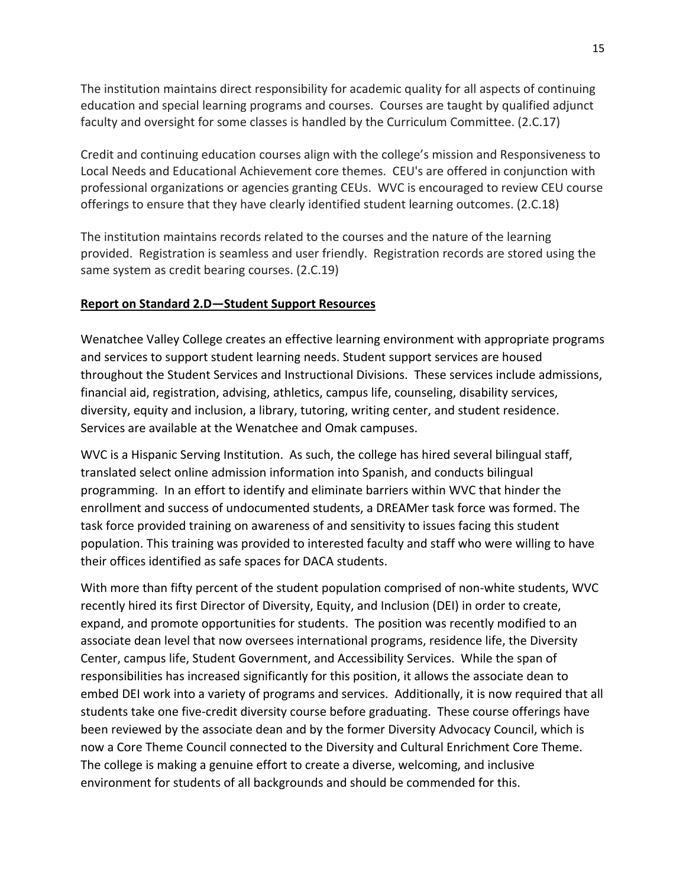The institution maintains direct responsibility for academic quality for all aspects of continuing education and special learning programs and courses. Courses are taught by qualified adjunct faculty and oversight for some classes is handled by the Curriculum Committee. (2.C.17)

Credit and continuing education courses align with the college's mission and Responsiveness to Local Needs and Educational Achievement core themes. CEU's are offered in conjunction with professional organizations or agencies granting CEUs. WVC is encouraged to review CEU course offerings to ensure that they have clearly identified student learning outcomes. (2.C.18)

The institution maintains records related to the courses and the nature of the learning provided. Registration is seamless and user friendly. Registration records are stored using the same system as credit bearing courses. (2.C.19)

### **Report on Standard 2.D—Student Support Resources**

Wenatchee Valley College creates an effective learning environment with appropriate programs and services to support student learning needs. Student support services are housed throughout the Student Services and Instructional Divisions. These services include admissions, financial aid, registration, advising, athletics, campus life, counseling, disability services, diversity, equity and inclusion, a library, tutoring, writing center, and student residence. Services are available at the Wenatchee and Omak campuses.

WVC is a Hispanic Serving Institution. As such, the college has hired several bilingual staff, translated select online admission information into Spanish, and conducts bilingual programming. In an effort to identify and eliminate barriers within WVC that hinder the enrollment and success of undocumented students, a DREAMer task force was formed. The task force provided training on awareness of and sensitivity to issues facing this student population. This training was provided to interested faculty and staff who were willing to have their offices identified as safe spaces for DACA students.

With more than fifty percent of the student population comprised of non-white students, WVC recently hired its first Director of Diversity, Equity, and Inclusion (DEI) in order to create, expand, and promote opportunities for students. The position was recently modified to an associate dean level that now oversees international programs, residence life, the Diversity Center, campus life, Student Government, and Accessibility Services. While the span of responsibilities has increased significantly for this position, it allows the associate dean to embed DEI work into a variety of programs and services. Additionally, it is now required that all students take one five‐credit diversity course before graduating. These course offerings have been reviewed by the associate dean and by the former Diversity Advocacy Council, which is now a Core Theme Council connected to the Diversity and Cultural Enrichment Core Theme. The college is making a genuine effort to create a diverse, welcoming, and inclusive environment for students of all backgrounds and should be commended for this.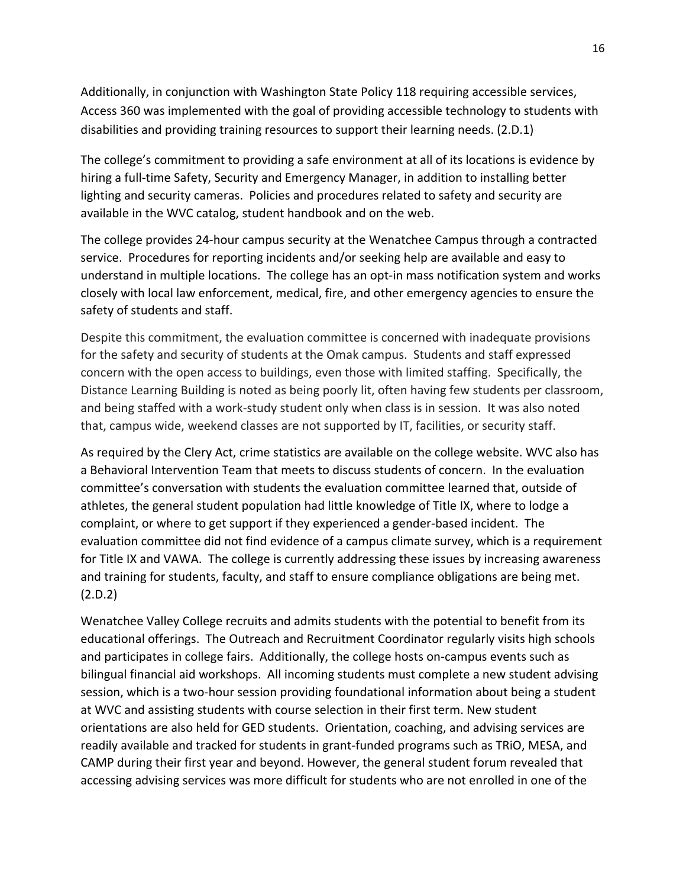Additionally, in conjunction with Washington State Policy 118 requiring accessible services, Access 360 was implemented with the goal of providing accessible technology to students with disabilities and providing training resources to support their learning needs. (2.D.1)

The college's commitment to providing a safe environment at all of its locations is evidence by hiring a full‐time Safety, Security and Emergency Manager, in addition to installing better lighting and security cameras. Policies and procedures related to safety and security are available in the WVC catalog, student handbook and on the web.

The college provides 24‐hour campus security at the Wenatchee Campus through a contracted service. Procedures for reporting incidents and/or seeking help are available and easy to understand in multiple locations. The college has an opt‐in mass notification system and works closely with local law enforcement, medical, fire, and other emergency agencies to ensure the safety of students and staff.

Despite this commitment, the evaluation committee is concerned with inadequate provisions for the safety and security of students at the Omak campus. Students and staff expressed concern with the open access to buildings, even those with limited staffing. Specifically, the Distance Learning Building is noted as being poorly lit, often having few students per classroom, and being staffed with a work-study student only when class is in session. It was also noted that, campus wide, weekend classes are not supported by IT, facilities, or security staff.

As required by the Clery Act, crime statistics are available on the college website. WVC also has a Behavioral Intervention Team that meets to discuss students of concern. In the evaluation committee's conversation with students the evaluation committee learned that, outside of athletes, the general student population had little knowledge of Title IX, where to lodge a complaint, or where to get support if they experienced a gender‐based incident. The evaluation committee did not find evidence of a campus climate survey, which is a requirement for Title IX and VAWA. The college is currently addressing these issues by increasing awareness and training for students, faculty, and staff to ensure compliance obligations are being met. (2.D.2)

Wenatchee Valley College recruits and admits students with the potential to benefit from its educational offerings. The Outreach and Recruitment Coordinator regularly visits high schools and participates in college fairs. Additionally, the college hosts on‐campus events such as bilingual financial aid workshops. All incoming students must complete a new student advising session, which is a two-hour session providing foundational information about being a student at WVC and assisting students with course selection in their first term. New student orientations are also held for GED students. Orientation, coaching, and advising services are readily available and tracked for students in grant‐funded programs such as TRiO, MESA, and CAMP during their first year and beyond. However, the general student forum revealed that accessing advising services was more difficult for students who are not enrolled in one of the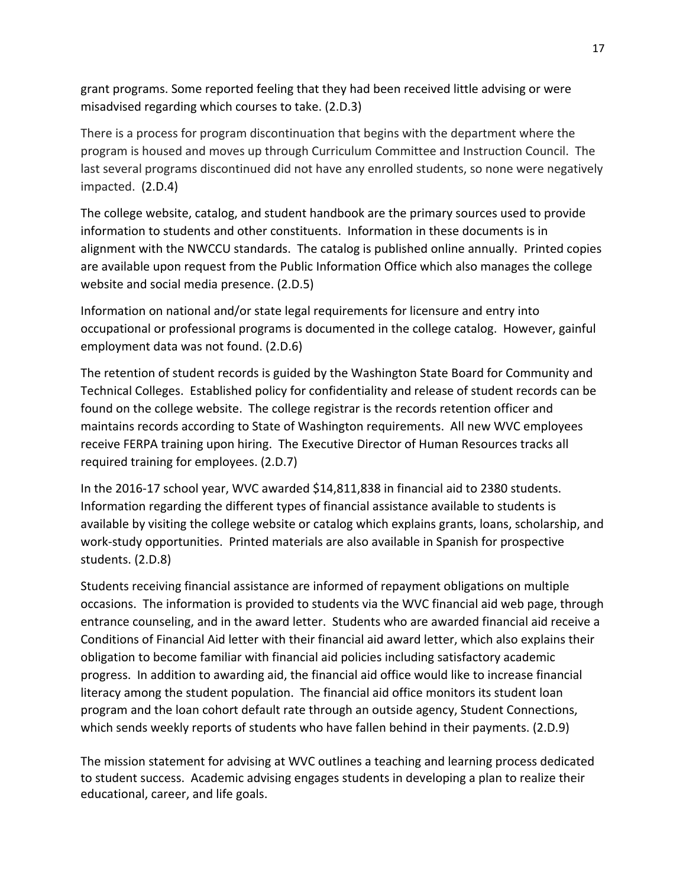grant programs. Some reported feeling that they had been received little advising or were misadvised regarding which courses to take. (2.D.3)

There is a process for program discontinuation that begins with the department where the program is housed and moves up through Curriculum Committee and Instruction Council. The last several programs discontinued did not have any enrolled students, so none were negatively impacted. (2.D.4)

The college website, catalog, and student handbook are the primary sources used to provide information to students and other constituents. Information in these documents is in alignment with the NWCCU standards. The catalog is published online annually. Printed copies are available upon request from the Public Information Office which also manages the college website and social media presence. (2.D.5)

Information on national and/or state legal requirements for licensure and entry into occupational or professional programs is documented in the college catalog. However, gainful employment data was not found. (2.D.6)

The retention of student records is guided by the Washington State Board for Community and Technical Colleges. Established policy for confidentiality and release of student records can be found on the college website. The college registrar is the records retention officer and maintains records according to State of Washington requirements. All new WVC employees receive FERPA training upon hiring. The Executive Director of Human Resources tracks all required training for employees. (2.D.7)

In the 2016‐17 school year, WVC awarded \$14,811,838 in financial aid to 2380 students. Information regarding the different types of financial assistance available to students is available by visiting the college website or catalog which explains grants, loans, scholarship, and work‐study opportunities. Printed materials are also available in Spanish for prospective students. (2.D.8)

Students receiving financial assistance are informed of repayment obligations on multiple occasions. The information is provided to students via the WVC financial aid web page, through entrance counseling, and in the award letter. Students who are awarded financial aid receive a Conditions of Financial Aid letter with their financial aid award letter, which also explains their obligation to become familiar with financial aid policies including satisfactory academic progress. In addition to awarding aid, the financial aid office would like to increase financial literacy among the student population. The financial aid office monitors its student loan program and the loan cohort default rate through an outside agency, Student Connections, which sends weekly reports of students who have fallen behind in their payments. (2.D.9)

The mission statement for advising at WVC outlines a teaching and learning process dedicated to student success. Academic advising engages students in developing a plan to realize their educational, career, and life goals.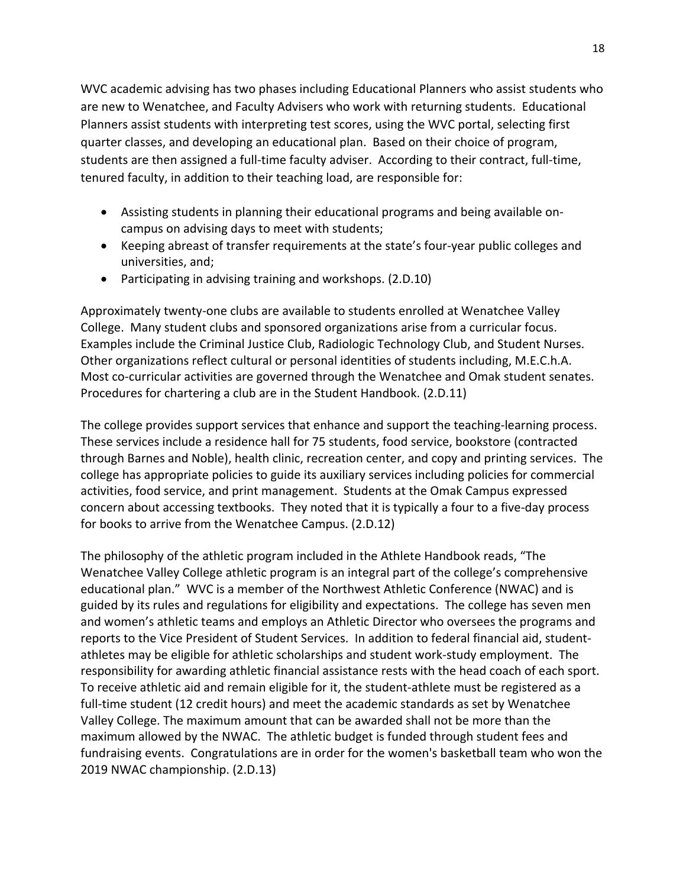WVC academic advising has two phases including Educational Planners who assist students who are new to Wenatchee, and Faculty Advisers who work with returning students. Educational Planners assist students with interpreting test scores, using the WVC portal, selecting first quarter classes, and developing an educational plan. Based on their choice of program, students are then assigned a full-time faculty adviser. According to their contract, full-time, tenured faculty, in addition to their teaching load, are responsible for:

- Assisting students in planning their educational programs and being available on‐ campus on advising days to meet with students;
- Keeping abreast of transfer requirements at the state's four-year public colleges and universities, and;
- Participating in advising training and workshops. (2.D.10)

Approximately twenty‐one clubs are available to students enrolled at Wenatchee Valley College. Many student clubs and sponsored organizations arise from a curricular focus. Examples include the Criminal Justice Club, Radiologic Technology Club, and Student Nurses. Other organizations reflect cultural or personal identities of students including, M.E.C.h.A. Most co-curricular activities are governed through the Wenatchee and Omak student senates. Procedures for chartering a club are in the Student Handbook. (2.D.11)

The college provides support services that enhance and support the teaching-learning process. These services include a residence hall for 75 students, food service, bookstore (contracted through Barnes and Noble), health clinic, recreation center, and copy and printing services. The college has appropriate policies to guide its auxiliary services including policies for commercial activities, food service, and print management. Students at the Omak Campus expressed concern about accessing textbooks. They noted that it is typically a four to a five‐day process for books to arrive from the Wenatchee Campus. (2.D.12)

The philosophy of the athletic program included in the Athlete Handbook reads, "The Wenatchee Valley College athletic program is an integral part of the college's comprehensive educational plan." WVC is a member of the Northwest Athletic Conference (NWAC) and is guided by its rules and regulations for eligibility and expectations. The college has seven men and women's athletic teams and employs an Athletic Director who oversees the programs and reports to the Vice President of Student Services. In addition to federal financial aid, student‐ athletes may be eligible for athletic scholarships and student work‐study employment. The responsibility for awarding athletic financial assistance rests with the head coach of each sport. To receive athletic aid and remain eligible for it, the student‐athlete must be registered as a full-time student (12 credit hours) and meet the academic standards as set by Wenatchee Valley College. The maximum amount that can be awarded shall not be more than the maximum allowed by the NWAC. The athletic budget is funded through student fees and fundraising events. Congratulations are in order for the women's basketball team who won the 2019 NWAC championship. (2.D.13)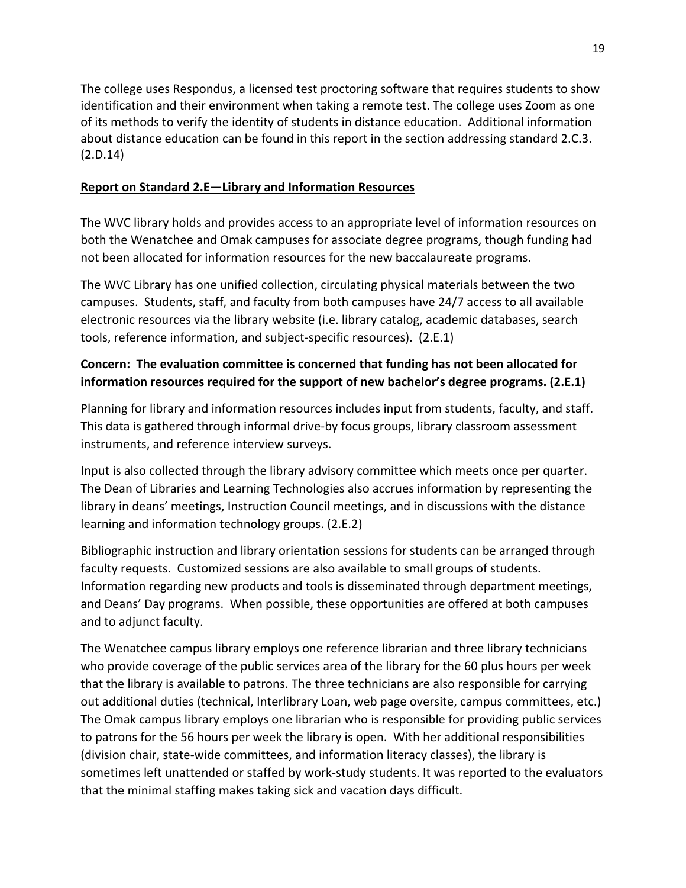The college uses Respondus, a licensed test proctoring software that requires students to show identification and their environment when taking a remote test. The college uses Zoom as one of its methods to verify the identity of students in distance education. Additional information about distance education can be found in this report in the section addressing standard 2.C.3. (2.D.14)

## **Report on Standard 2.E—Library and Information Resources**

The WVC library holds and provides access to an appropriate level of information resources on both the Wenatchee and Omak campuses for associate degree programs, though funding had not been allocated for information resources for the new baccalaureate programs.

The WVC Library has one unified collection, circulating physical materials between the two campuses. Students, staff, and faculty from both campuses have 24/7 access to all available electronic resources via the library website (i.e. library catalog, academic databases, search tools, reference information, and subject‐specific resources). (2.E.1)

# **Concern: The evaluation committee is concerned that funding has not been allocated for information resources required for the support of new bachelor's degree programs. (2.E.1)**

Planning for library and information resources includes input from students, faculty, and staff. This data is gathered through informal drive‐by focus groups, library classroom assessment instruments, and reference interview surveys.

Input is also collected through the library advisory committee which meets once per quarter. The Dean of Libraries and Learning Technologies also accrues information by representing the library in deans' meetings, Instruction Council meetings, and in discussions with the distance learning and information technology groups. (2.E.2)

Bibliographic instruction and library orientation sessions for students can be arranged through faculty requests. Customized sessions are also available to small groups of students. Information regarding new products and tools is disseminated through department meetings, and Deans' Day programs. When possible, these opportunities are offered at both campuses and to adjunct faculty.

The Wenatchee campus library employs one reference librarian and three library technicians who provide coverage of the public services area of the library for the 60 plus hours per week that the library is available to patrons. The three technicians are also responsible for carrying out additional duties (technical, Interlibrary Loan, web page oversite, campus committees, etc.) The Omak campus library employs one librarian who is responsible for providing public services to patrons for the 56 hours per week the library is open. With her additional responsibilities (division chair, state‐wide committees, and information literacy classes), the library is sometimes left unattended or staffed by work‐study students. It was reported to the evaluators that the minimal staffing makes taking sick and vacation days difficult.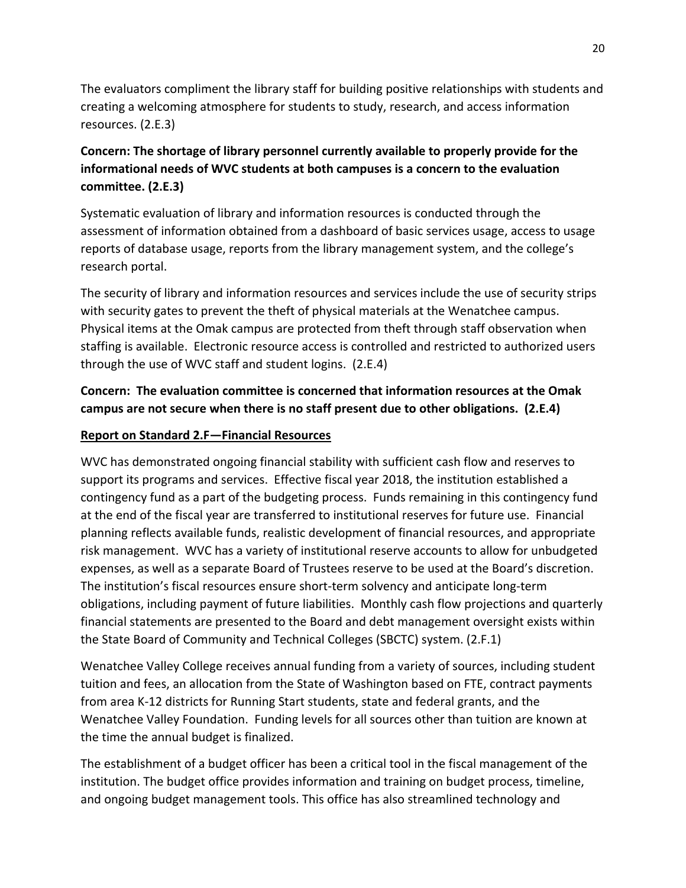The evaluators compliment the library staff for building positive relationships with students and creating a welcoming atmosphere for students to study, research, and access information resources. (2.E.3)

# **Concern: The shortage of library personnel currently available to properly provide for the informational needs of WVC students at both campuses is a concern to the evaluation committee. (2.E.3)**

Systematic evaluation of library and information resources is conducted through the assessment of information obtained from a dashboard of basic services usage, access to usage reports of database usage, reports from the library management system, and the college's research portal.

The security of library and information resources and services include the use of security strips with security gates to prevent the theft of physical materials at the Wenatchee campus. Physical items at the Omak campus are protected from theft through staff observation when staffing is available. Electronic resource access is controlled and restricted to authorized users through the use of WVC staff and student logins. (2.E.4)

# **Concern: The evaluation committee is concerned that information resources at the Omak campus are not secure when there is no staff present due to other obligations. (2.E.4)**

### **Report on Standard 2.F—Financial Resources**

WVC has demonstrated ongoing financial stability with sufficient cash flow and reserves to support its programs and services. Effective fiscal year 2018, the institution established a contingency fund as a part of the budgeting process. Funds remaining in this contingency fund at the end of the fiscal year are transferred to institutional reserves for future use. Financial planning reflects available funds, realistic development of financial resources, and appropriate risk management. WVC has a variety of institutional reserve accounts to allow for unbudgeted expenses, as well as a separate Board of Trustees reserve to be used at the Board's discretion. The institution's fiscal resources ensure short-term solvency and anticipate long-term obligations, including payment of future liabilities. Monthly cash flow projections and quarterly financial statements are presented to the Board and debt management oversight exists within the State Board of Community and Technical Colleges (SBCTC) system. (2.F.1)

Wenatchee Valley College receives annual funding from a variety of sources, including student tuition and fees, an allocation from the State of Washington based on FTE, contract payments from area K‐12 districts for Running Start students, state and federal grants, and the Wenatchee Valley Foundation. Funding levels for all sources other than tuition are known at the time the annual budget is finalized.

The establishment of a budget officer has been a critical tool in the fiscal management of the institution. The budget office provides information and training on budget process, timeline, and ongoing budget management tools. This office has also streamlined technology and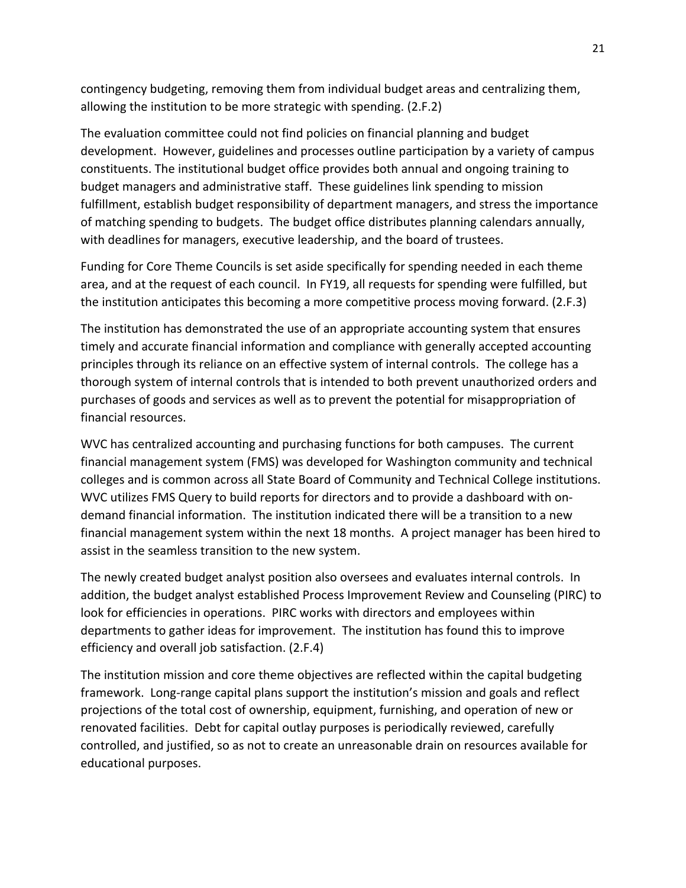contingency budgeting, removing them from individual budget areas and centralizing them, allowing the institution to be more strategic with spending. (2.F.2)

The evaluation committee could not find policies on financial planning and budget development. However, guidelines and processes outline participation by a variety of campus constituents. The institutional budget office provides both annual and ongoing training to budget managers and administrative staff. These guidelines link spending to mission fulfillment, establish budget responsibility of department managers, and stress the importance of matching spending to budgets. The budget office distributes planning calendars annually, with deadlines for managers, executive leadership, and the board of trustees.

Funding for Core Theme Councils is set aside specifically for spending needed in each theme area, and at the request of each council. In FY19, all requests for spending were fulfilled, but the institution anticipates this becoming a more competitive process moving forward. (2.F.3)

The institution has demonstrated the use of an appropriate accounting system that ensures timely and accurate financial information and compliance with generally accepted accounting principles through its reliance on an effective system of internal controls. The college has a thorough system of internal controls that is intended to both prevent unauthorized orders and purchases of goods and services as well as to prevent the potential for misappropriation of financial resources.

WVC has centralized accounting and purchasing functions for both campuses. The current financial management system (FMS) was developed for Washington community and technical colleges and is common across all State Board of Community and Technical College institutions. WVC utilizes FMS Query to build reports for directors and to provide a dashboard with on‐ demand financial information. The institution indicated there will be a transition to a new financial management system within the next 18 months. A project manager has been hired to assist in the seamless transition to the new system.

The newly created budget analyst position also oversees and evaluates internal controls. In addition, the budget analyst established Process Improvement Review and Counseling (PIRC) to look for efficiencies in operations. PIRC works with directors and employees within departments to gather ideas for improvement. The institution has found this to improve efficiency and overall job satisfaction. (2.F.4)

The institution mission and core theme objectives are reflected within the capital budgeting framework. Long-range capital plans support the institution's mission and goals and reflect projections of the total cost of ownership, equipment, furnishing, and operation of new or renovated facilities. Debt for capital outlay purposes is periodically reviewed, carefully controlled, and justified, so as not to create an unreasonable drain on resources available for educational purposes.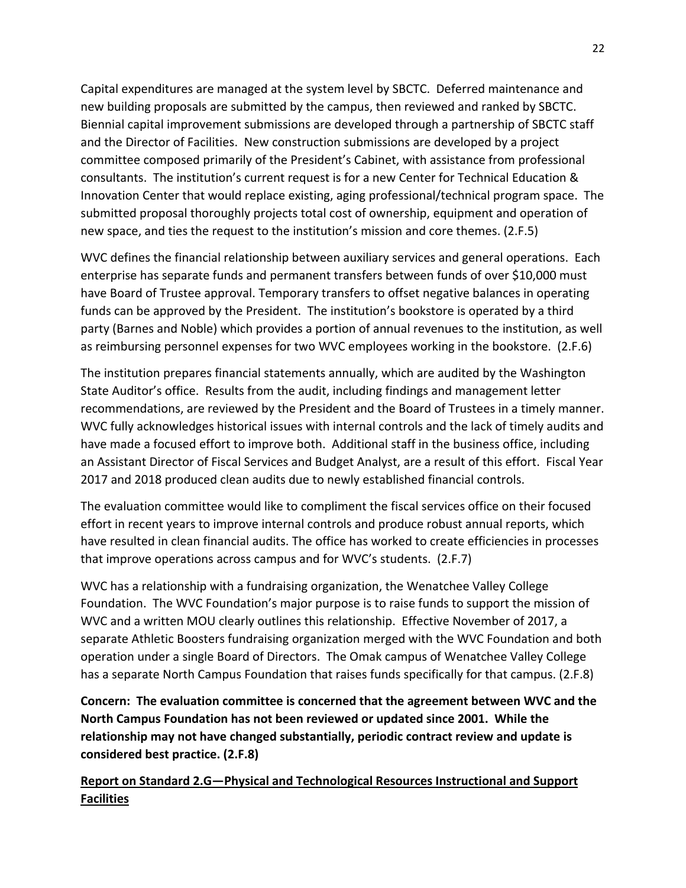Capital expenditures are managed at the system level by SBCTC. Deferred maintenance and new building proposals are submitted by the campus, then reviewed and ranked by SBCTC. Biennial capital improvement submissions are developed through a partnership of SBCTC staff and the Director of Facilities. New construction submissions are developed by a project committee composed primarily of the President's Cabinet, with assistance from professional consultants. The institution's current request is for a new Center for Technical Education & Innovation Center that would replace existing, aging professional/technical program space. The submitted proposal thoroughly projects total cost of ownership, equipment and operation of new space, and ties the request to the institution's mission and core themes. (2.F.5)

WVC defines the financial relationship between auxiliary services and general operations. Each enterprise has separate funds and permanent transfers between funds of over \$10,000 must have Board of Trustee approval. Temporary transfers to offset negative balances in operating funds can be approved by the President. The institution's bookstore is operated by a third party (Barnes and Noble) which provides a portion of annual revenues to the institution, as well as reimbursing personnel expenses for two WVC employees working in the bookstore. (2.F.6)

The institution prepares financial statements annually, which are audited by the Washington State Auditor's office. Results from the audit, including findings and management letter recommendations, are reviewed by the President and the Board of Trustees in a timely manner. WVC fully acknowledges historical issues with internal controls and the lack of timely audits and have made a focused effort to improve both. Additional staff in the business office, including an Assistant Director of Fiscal Services and Budget Analyst, are a result of this effort. Fiscal Year 2017 and 2018 produced clean audits due to newly established financial controls.

The evaluation committee would like to compliment the fiscal services office on their focused effort in recent years to improve internal controls and produce robust annual reports, which have resulted in clean financial audits. The office has worked to create efficiencies in processes that improve operations across campus and for WVC's students. (2.F.7)

WVC has a relationship with a fundraising organization, the Wenatchee Valley College Foundation. The WVC Foundation's major purpose is to raise funds to support the mission of WVC and a written MOU clearly outlines this relationship. Effective November of 2017, a separate Athletic Boosters fundraising organization merged with the WVC Foundation and both operation under a single Board of Directors. The Omak campus of Wenatchee Valley College has a separate North Campus Foundation that raises funds specifically for that campus. (2.F.8)

**Concern: The evaluation committee is concerned that the agreement between WVC and the North Campus Foundation has not been reviewed or updated since 2001. While the relationship may not have changed substantially, periodic contract review and update is considered best practice. (2.F.8)**

**Report on Standard 2.G—Physical and Technological Resources Instructional and Support Facilities**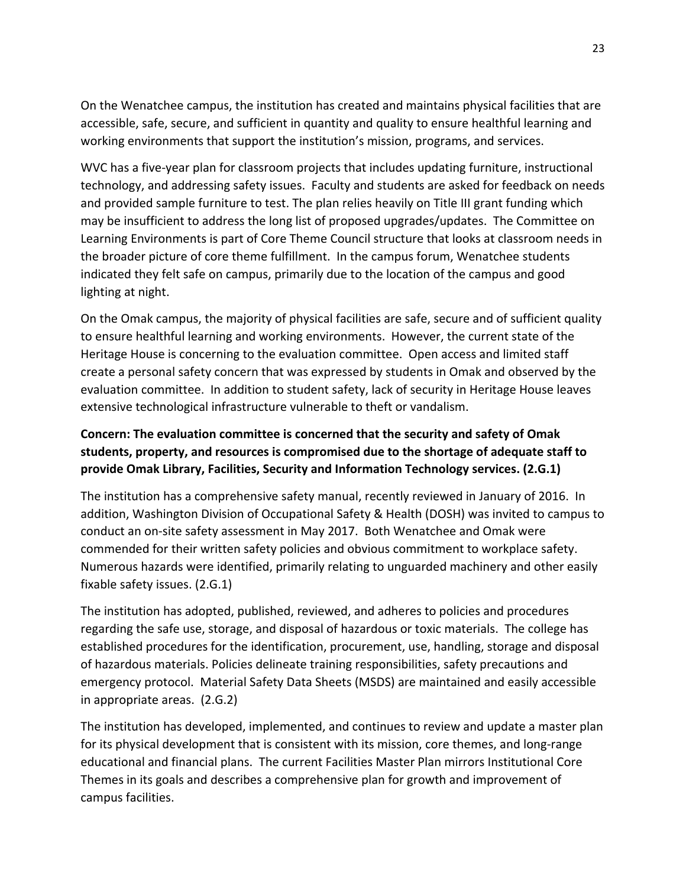On the Wenatchee campus, the institution has created and maintains physical facilities that are accessible, safe, secure, and sufficient in quantity and quality to ensure healthful learning and working environments that support the institution's mission, programs, and services.

WVC has a five-year plan for classroom projects that includes updating furniture, instructional technology, and addressing safety issues. Faculty and students are asked for feedback on needs and provided sample furniture to test. The plan relies heavily on Title III grant funding which may be insufficient to address the long list of proposed upgrades/updates. The Committee on Learning Environments is part of Core Theme Council structure that looks at classroom needs in the broader picture of core theme fulfillment. In the campus forum, Wenatchee students indicated they felt safe on campus, primarily due to the location of the campus and good lighting at night.

On the Omak campus, the majority of physical facilities are safe, secure and of sufficient quality to ensure healthful learning and working environments. However, the current state of the Heritage House is concerning to the evaluation committee. Open access and limited staff create a personal safety concern that was expressed by students in Omak and observed by the evaluation committee. In addition to student safety, lack of security in Heritage House leaves extensive technological infrastructure vulnerable to theft or vandalism.

# **Concern: The evaluation committee is concerned that the security and safety of Omak students, property, and resources is compromised due to the shortage of adequate staff to provide Omak Library, Facilities, Security and Information Technology services. (2.G.1)**

The institution has a comprehensive safety manual, recently reviewed in January of 2016. In addition, Washington Division of Occupational Safety & Health (DOSH) was invited to campus to conduct an on‐site safety assessment in May 2017. Both Wenatchee and Omak were commended for their written safety policies and obvious commitment to workplace safety. Numerous hazards were identified, primarily relating to unguarded machinery and other easily fixable safety issues. (2.G.1)

The institution has adopted, published, reviewed, and adheres to policies and procedures regarding the safe use, storage, and disposal of hazardous or toxic materials. The college has established procedures for the identification, procurement, use, handling, storage and disposal of hazardous materials. Policies delineate training responsibilities, safety precautions and emergency protocol. Material Safety Data Sheets (MSDS) are maintained and easily accessible in appropriate areas. (2.G.2)

The institution has developed, implemented, and continues to review and update a master plan for its physical development that is consistent with its mission, core themes, and long-range educational and financial plans. The current Facilities Master Plan mirrors Institutional Core Themes in its goals and describes a comprehensive plan for growth and improvement of campus facilities.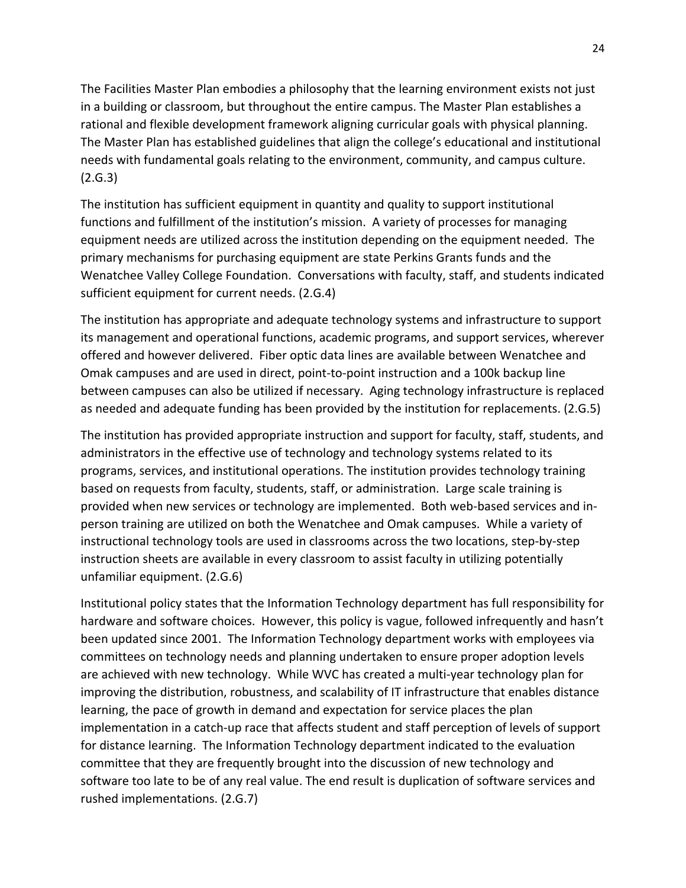The Facilities Master Plan embodies a philosophy that the learning environment exists not just in a building or classroom, but throughout the entire campus. The Master Plan establishes a rational and flexible development framework aligning curricular goals with physical planning. The Master Plan has established guidelines that align the college's educational and institutional needs with fundamental goals relating to the environment, community, and campus culture. (2.G.3)

The institution has sufficient equipment in quantity and quality to support institutional functions and fulfillment of the institution's mission. A variety of processes for managing equipment needs are utilized across the institution depending on the equipment needed. The primary mechanisms for purchasing equipment are state Perkins Grants funds and the Wenatchee Valley College Foundation. Conversations with faculty, staff, and students indicated sufficient equipment for current needs. (2.G.4)

The institution has appropriate and adequate technology systems and infrastructure to support its management and operational functions, academic programs, and support services, wherever offered and however delivered. Fiber optic data lines are available between Wenatchee and Omak campuses and are used in direct, point‐to‐point instruction and a 100k backup line between campuses can also be utilized if necessary. Aging technology infrastructure is replaced as needed and adequate funding has been provided by the institution for replacements. (2.G.5)

The institution has provided appropriate instruction and support for faculty, staff, students, and administrators in the effective use of technology and technology systems related to its programs, services, and institutional operations. The institution provides technology training based on requests from faculty, students, staff, or administration. Large scale training is provided when new services or technology are implemented. Both web-based services and inperson training are utilized on both the Wenatchee and Omak campuses. While a variety of instructional technology tools are used in classrooms across the two locations, step-by-step instruction sheets are available in every classroom to assist faculty in utilizing potentially unfamiliar equipment. (2.G.6)

Institutional policy states that the Information Technology department has full responsibility for hardware and software choices. However, this policy is vague, followed infrequently and hasn't been updated since 2001. The Information Technology department works with employees via committees on technology needs and planning undertaken to ensure proper adoption levels are achieved with new technology. While WVC has created a multi-year technology plan for improving the distribution, robustness, and scalability of IT infrastructure that enables distance learning, the pace of growth in demand and expectation for service places the plan implementation in a catch‐up race that affects student and staff perception of levels of support for distance learning. The Information Technology department indicated to the evaluation committee that they are frequently brought into the discussion of new technology and software too late to be of any real value. The end result is duplication of software services and rushed implementations. (2.G.7)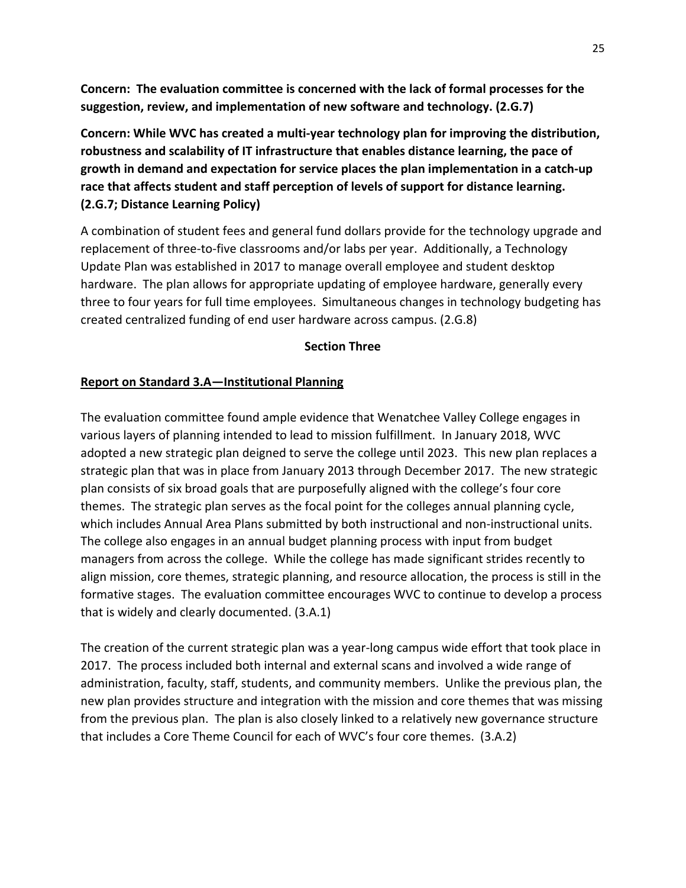**Concern: The evaluation committee is concerned with the lack of formal processes for the suggestion, review, and implementation of new software and technology. (2.G.7)**

**Concern: While WVC has created a multi‐year technology plan for improving the distribution, robustness and scalability of IT infrastructure that enables distance learning, the pace of growth in demand and expectation for service places the plan implementation in a catch‐up race that affects student and staff perception of levels of support for distance learning. (2.G.7; Distance Learning Policy)**

A combination of student fees and general fund dollars provide for the technology upgrade and replacement of three-to-five classrooms and/or labs per year. Additionally, a Technology Update Plan was established in 2017 to manage overall employee and student desktop hardware. The plan allows for appropriate updating of employee hardware, generally every three to four years for full time employees. Simultaneous changes in technology budgeting has created centralized funding of end user hardware across campus. (2.G.8)

#### **Section Three**

### **Report on Standard 3.A—Institutional Planning**

The evaluation committee found ample evidence that Wenatchee Valley College engages in various layers of planning intended to lead to mission fulfillment. In January 2018, WVC adopted a new strategic plan deigned to serve the college until 2023. This new plan replaces a strategic plan that was in place from January 2013 through December 2017. The new strategic plan consists of six broad goals that are purposefully aligned with the college's four core themes. The strategic plan serves as the focal point for the colleges annual planning cycle, which includes Annual Area Plans submitted by both instructional and non-instructional units. The college also engages in an annual budget planning process with input from budget managers from across the college. While the college has made significant strides recently to align mission, core themes, strategic planning, and resource allocation, the process is still in the formative stages. The evaluation committee encourages WVC to continue to develop a process that is widely and clearly documented. (3.A.1)

The creation of the current strategic plan was a year‐long campus wide effort that took place in 2017. The process included both internal and external scans and involved a wide range of administration, faculty, staff, students, and community members. Unlike the previous plan, the new plan provides structure and integration with the mission and core themes that was missing from the previous plan. The plan is also closely linked to a relatively new governance structure that includes a Core Theme Council for each of WVC's four core themes. (3.A.2)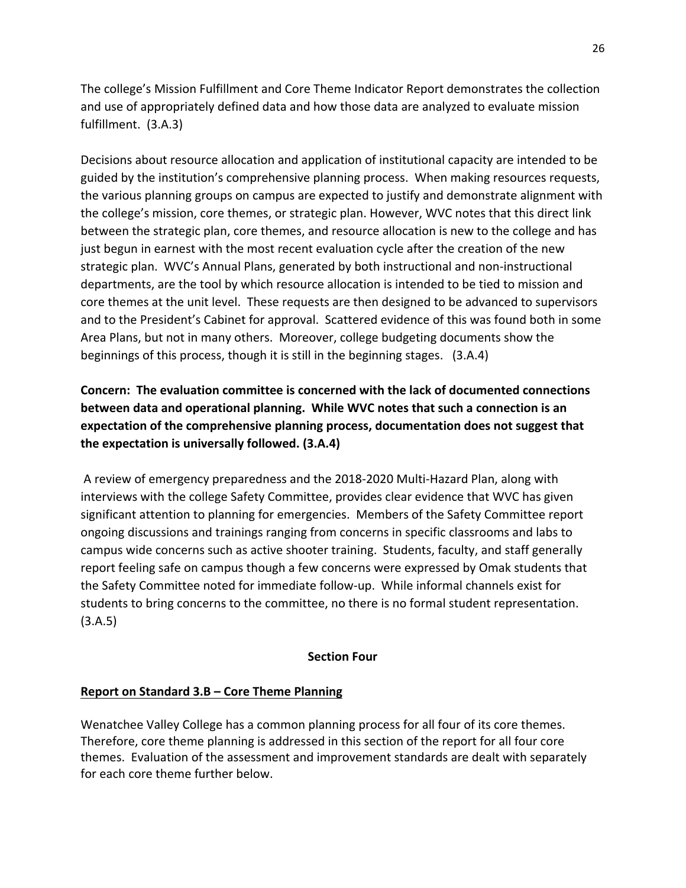The college's Mission Fulfillment and Core Theme Indicator Report demonstrates the collection and use of appropriately defined data and how those data are analyzed to evaluate mission fulfillment. (3.A.3)

Decisions about resource allocation and application of institutional capacity are intended to be guided by the institution's comprehensive planning process. When making resources requests, the various planning groups on campus are expected to justify and demonstrate alignment with the college's mission, core themes, or strategic plan. However, WVC notes that this direct link between the strategic plan, core themes, and resource allocation is new to the college and has just begun in earnest with the most recent evaluation cycle after the creation of the new strategic plan. WVC's Annual Plans, generated by both instructional and non‐instructional departments, are the tool by which resource allocation is intended to be tied to mission and core themes at the unit level. These requests are then designed to be advanced to supervisors and to the President's Cabinet for approval. Scattered evidence of this was found both in some Area Plans, but not in many others. Moreover, college budgeting documents show the beginnings of this process, though it is still in the beginning stages. (3.A.4)

# **Concern: The evaluation committee is concerned with the lack of documented connections between data and operational planning. While WVC notes that such a connection is an expectation of the comprehensive planning process, documentation does not suggest that the expectation is universally followed. (3.A.4)**

A review of emergency preparedness and the 2018‐2020 Multi‐Hazard Plan, along with interviews with the college Safety Committee, provides clear evidence that WVC has given significant attention to planning for emergencies. Members of the Safety Committee report ongoing discussions and trainings ranging from concerns in specific classrooms and labs to campus wide concerns such as active shooter training. Students, faculty, and staff generally report feeling safe on campus though a few concerns were expressed by Omak students that the Safety Committee noted for immediate follow‐up. While informal channels exist for students to bring concerns to the committee, no there is no formal student representation. (3.A.5)

#### **Section Four**

### **Report on Standard 3.B – Core Theme Planning**

Wenatchee Valley College has a common planning process for all four of its core themes. Therefore, core theme planning is addressed in this section of the report for all four core themes. Evaluation of the assessment and improvement standards are dealt with separately for each core theme further below.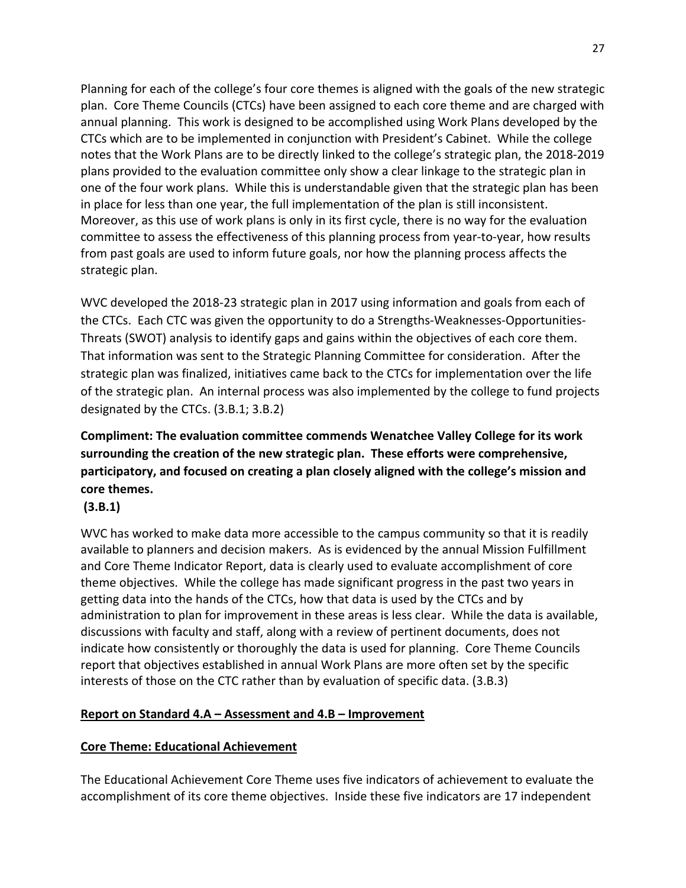Planning for each of the college's four core themes is aligned with the goals of the new strategic plan. Core Theme Councils (CTCs) have been assigned to each core theme and are charged with annual planning. This work is designed to be accomplished using Work Plans developed by the CTCs which are to be implemented in conjunction with President's Cabinet. While the college notes that the Work Plans are to be directly linked to the college's strategic plan, the 2018‐2019 plans provided to the evaluation committee only show a clear linkage to the strategic plan in one of the four work plans. While this is understandable given that the strategic plan has been in place for less than one year, the full implementation of the plan is still inconsistent. Moreover, as this use of work plans is only in its first cycle, there is no way for the evaluation committee to assess the effectiveness of this planning process from year‐to‐year, how results from past goals are used to inform future goals, nor how the planning process affects the strategic plan.

WVC developed the 2018-23 strategic plan in 2017 using information and goals from each of the CTCs. Each CTC was given the opportunity to do a Strengths‐Weaknesses‐Opportunities‐ Threats (SWOT) analysis to identify gaps and gains within the objectives of each core them. That information was sent to the Strategic Planning Committee for consideration. After the strategic plan was finalized, initiatives came back to the CTCs for implementation over the life of the strategic plan. An internal process was also implemented by the college to fund projects designated by the CTCs. (3.B.1; 3.B.2)

# **Compliment: The evaluation committee commends Wenatchee Valley College for its work surrounding the creation of the new strategic plan. These efforts were comprehensive, participatory, and focused on creating a plan closely aligned with the college's mission and core themes.**

### **(3.B.1)**

WVC has worked to make data more accessible to the campus community so that it is readily available to planners and decision makers. As is evidenced by the annual Mission Fulfillment and Core Theme Indicator Report, data is clearly used to evaluate accomplishment of core theme objectives. While the college has made significant progress in the past two years in getting data into the hands of the CTCs, how that data is used by the CTCs and by administration to plan for improvement in these areas is less clear. While the data is available, discussions with faculty and staff, along with a review of pertinent documents, does not indicate how consistently or thoroughly the data is used for planning. Core Theme Councils report that objectives established in annual Work Plans are more often set by the specific interests of those on the CTC rather than by evaluation of specific data. (3.B.3)

### **Report on Standard 4.A – Assessment and 4.B – Improvement**

### **Core Theme: Educational Achievement**

The Educational Achievement Core Theme uses five indicators of achievement to evaluate the accomplishment of its core theme objectives. Inside these five indicators are 17 independent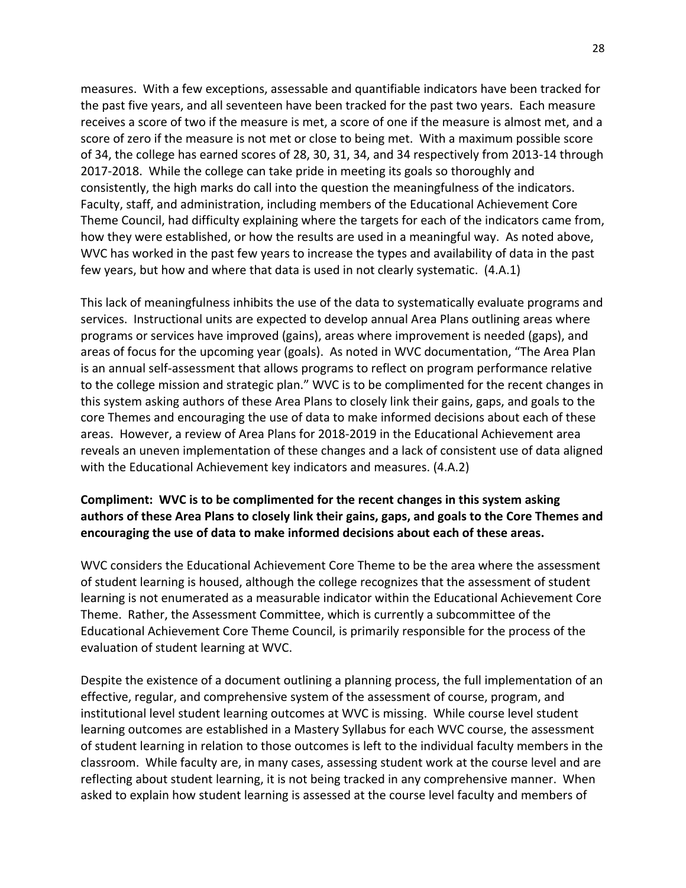measures. With a few exceptions, assessable and quantifiable indicators have been tracked for the past five years, and all seventeen have been tracked for the past two years. Each measure receives a score of two if the measure is met, a score of one if the measure is almost met, and a score of zero if the measure is not met or close to being met. With a maximum possible score of 34, the college has earned scores of 28, 30, 31, 34, and 34 respectively from 2013‐14 through 2017‐2018. While the college can take pride in meeting its goals so thoroughly and consistently, the high marks do call into the question the meaningfulness of the indicators. Faculty, staff, and administration, including members of the Educational Achievement Core Theme Council, had difficulty explaining where the targets for each of the indicators came from, how they were established, or how the results are used in a meaningful way. As noted above, WVC has worked in the past few years to increase the types and availability of data in the past few years, but how and where that data is used in not clearly systematic. (4.A.1)

This lack of meaningfulness inhibits the use of the data to systematically evaluate programs and services. Instructional units are expected to develop annual Area Plans outlining areas where programs or services have improved (gains), areas where improvement is needed (gaps), and areas of focus for the upcoming year (goals). As noted in WVC documentation, "The Area Plan is an annual self‐assessment that allows programs to reflect on program performance relative to the college mission and strategic plan." WVC is to be complimented for the recent changes in this system asking authors of these Area Plans to closely link their gains, gaps, and goals to the core Themes and encouraging the use of data to make informed decisions about each of these areas. However, a review of Area Plans for 2018‐2019 in the Educational Achievement area reveals an uneven implementation of these changes and a lack of consistent use of data aligned with the Educational Achievement key indicators and measures. (4.A.2)

#### **Compliment: WVC is to be complimented for the recent changes in this system asking authors of these Area Plans to closely link their gains, gaps, and goals to the Core Themes and encouraging the use of data to make informed decisions about each of these areas.**

WVC considers the Educational Achievement Core Theme to be the area where the assessment of student learning is housed, although the college recognizes that the assessment of student learning is not enumerated as a measurable indicator within the Educational Achievement Core Theme. Rather, the Assessment Committee, which is currently a subcommittee of the Educational Achievement Core Theme Council, is primarily responsible for the process of the evaluation of student learning at WVC.

Despite the existence of a document outlining a planning process, the full implementation of an effective, regular, and comprehensive system of the assessment of course, program, and institutional level student learning outcomes at WVC is missing. While course level student learning outcomes are established in a Mastery Syllabus for each WVC course, the assessment of student learning in relation to those outcomes is left to the individual faculty members in the classroom. While faculty are, in many cases, assessing student work at the course level and are reflecting about student learning, it is not being tracked in any comprehensive manner. When asked to explain how student learning is assessed at the course level faculty and members of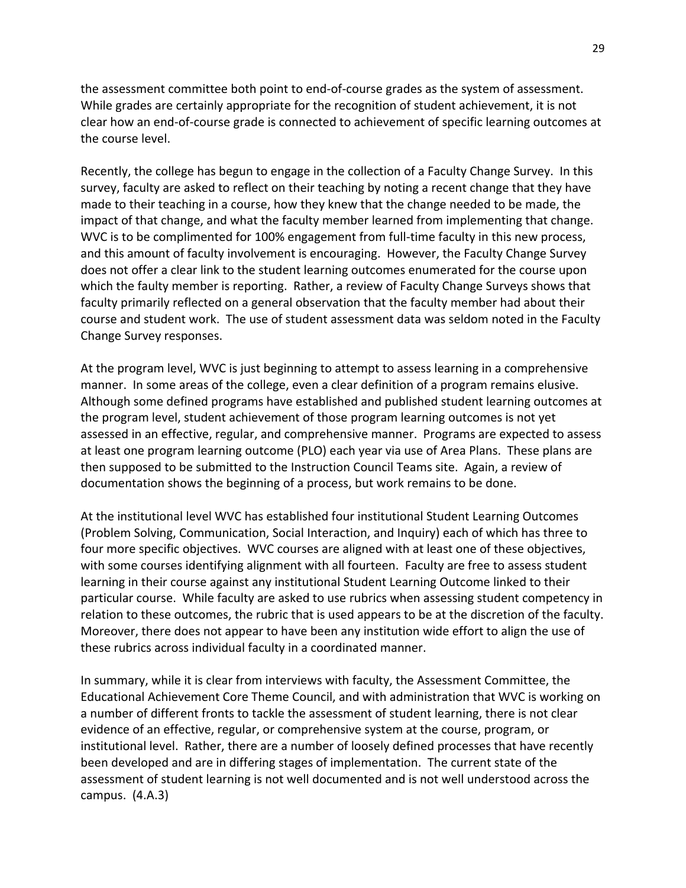the assessment committee both point to end‐of‐course grades as the system of assessment. While grades are certainly appropriate for the recognition of student achievement, it is not clear how an end‐of‐course grade is connected to achievement of specific learning outcomes at the course level.

Recently, the college has begun to engage in the collection of a Faculty Change Survey. In this survey, faculty are asked to reflect on their teaching by noting a recent change that they have made to their teaching in a course, how they knew that the change needed to be made, the impact of that change, and what the faculty member learned from implementing that change. WVC is to be complimented for 100% engagement from full-time faculty in this new process, and this amount of faculty involvement is encouraging. However, the Faculty Change Survey does not offer a clear link to the student learning outcomes enumerated for the course upon which the faulty member is reporting. Rather, a review of Faculty Change Surveys shows that faculty primarily reflected on a general observation that the faculty member had about their course and student work. The use of student assessment data was seldom noted in the Faculty Change Survey responses.

At the program level, WVC is just beginning to attempt to assess learning in a comprehensive manner. In some areas of the college, even a clear definition of a program remains elusive. Although some defined programs have established and published student learning outcomes at the program level, student achievement of those program learning outcomes is not yet assessed in an effective, regular, and comprehensive manner. Programs are expected to assess at least one program learning outcome (PLO) each year via use of Area Plans. These plans are then supposed to be submitted to the Instruction Council Teams site. Again, a review of documentation shows the beginning of a process, but work remains to be done.

At the institutional level WVC has established four institutional Student Learning Outcomes (Problem Solving, Communication, Social Interaction, and Inquiry) each of which has three to four more specific objectives. WVC courses are aligned with at least one of these objectives, with some courses identifying alignment with all fourteen. Faculty are free to assess student learning in their course against any institutional Student Learning Outcome linked to their particular course. While faculty are asked to use rubrics when assessing student competency in relation to these outcomes, the rubric that is used appears to be at the discretion of the faculty. Moreover, there does not appear to have been any institution wide effort to align the use of these rubrics across individual faculty in a coordinated manner.

In summary, while it is clear from interviews with faculty, the Assessment Committee, the Educational Achievement Core Theme Council, and with administration that WVC is working on a number of different fronts to tackle the assessment of student learning, there is not clear evidence of an effective, regular, or comprehensive system at the course, program, or institutional level. Rather, there are a number of loosely defined processes that have recently been developed and are in differing stages of implementation. The current state of the assessment of student learning is not well documented and is not well understood across the campus. (4.A.3)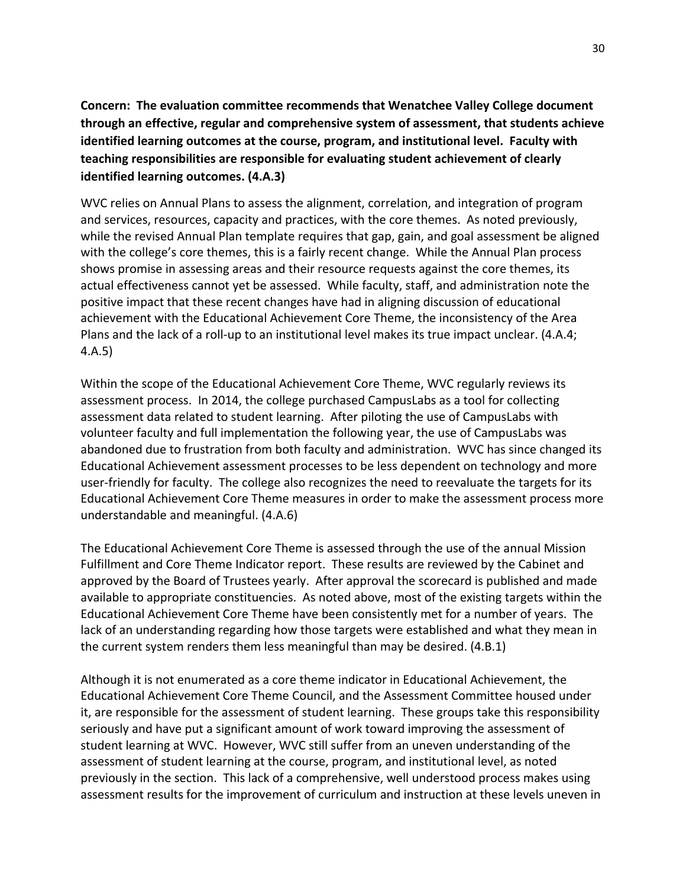**Concern: The evaluation committee recommends that Wenatchee Valley College document through an effective, regular and comprehensive system of assessment, that students achieve identified learning outcomes at the course, program, and institutional level. Faculty with teaching responsibilities are responsible for evaluating student achievement of clearly identified learning outcomes. (4.A.3)**

WVC relies on Annual Plans to assess the alignment, correlation, and integration of program and services, resources, capacity and practices, with the core themes. As noted previously, while the revised Annual Plan template requires that gap, gain, and goal assessment be aligned with the college's core themes, this is a fairly recent change. While the Annual Plan process shows promise in assessing areas and their resource requests against the core themes, its actual effectiveness cannot yet be assessed. While faculty, staff, and administration note the positive impact that these recent changes have had in aligning discussion of educational achievement with the Educational Achievement Core Theme, the inconsistency of the Area Plans and the lack of a roll‐up to an institutional level makes its true impact unclear. (4.A.4; 4.A.5)

Within the scope of the Educational Achievement Core Theme, WVC regularly reviews its assessment process. In 2014, the college purchased CampusLabs as a tool for collecting assessment data related to student learning. After piloting the use of CampusLabs with volunteer faculty and full implementation the following year, the use of CampusLabs was abandoned due to frustration from both faculty and administration. WVC has since changed its Educational Achievement assessment processes to be less dependent on technology and more user-friendly for faculty. The college also recognizes the need to reevaluate the targets for its Educational Achievement Core Theme measures in order to make the assessment process more understandable and meaningful. (4.A.6)

The Educational Achievement Core Theme is assessed through the use of the annual Mission Fulfillment and Core Theme Indicator report. These results are reviewed by the Cabinet and approved by the Board of Trustees yearly. After approval the scorecard is published and made available to appropriate constituencies. As noted above, most of the existing targets within the Educational Achievement Core Theme have been consistently met for a number of years. The lack of an understanding regarding how those targets were established and what they mean in the current system renders them less meaningful than may be desired. (4.B.1)

Although it is not enumerated as a core theme indicator in Educational Achievement, the Educational Achievement Core Theme Council, and the Assessment Committee housed under it, are responsible for the assessment of student learning. These groups take this responsibility seriously and have put a significant amount of work toward improving the assessment of student learning at WVC. However, WVC still suffer from an uneven understanding of the assessment of student learning at the course, program, and institutional level, as noted previously in the section. This lack of a comprehensive, well understood process makes using assessment results for the improvement of curriculum and instruction at these levels uneven in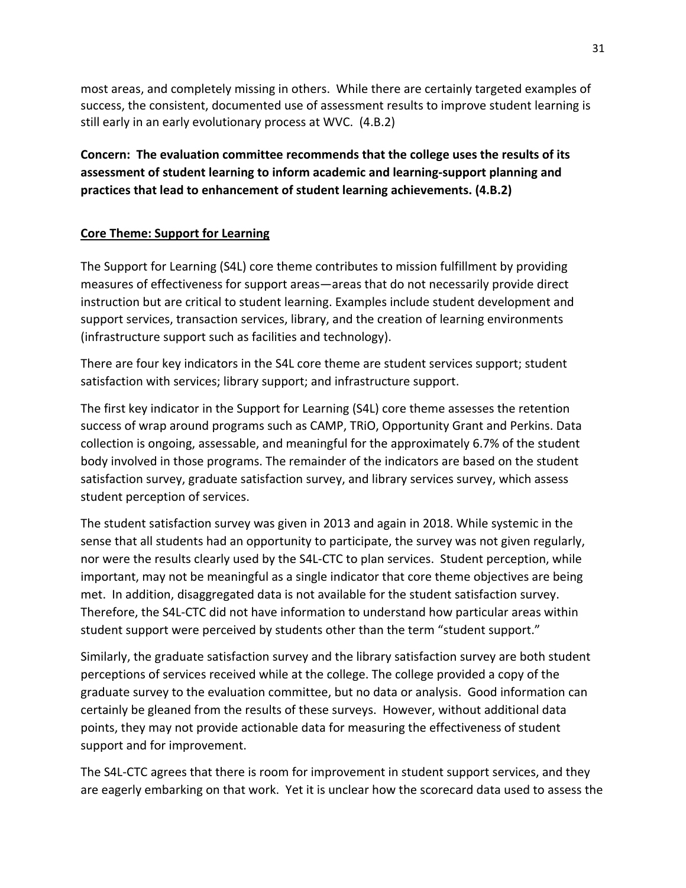most areas, and completely missing in others. While there are certainly targeted examples of success, the consistent, documented use of assessment results to improve student learning is still early in an early evolutionary process at WVC. (4.B.2)

**Concern: The evaluation committee recommends that the college uses the results of its assessment of student learning to inform academic and learning‐support planning and practices that lead to enhancement of student learning achievements. (4.B.2)**

## **Core Theme: Support for Learning**

The Support for Learning (S4L) core theme contributes to mission fulfillment by providing measures of effectiveness for support areas—areas that do not necessarily provide direct instruction but are critical to student learning. Examples include student development and support services, transaction services, library, and the creation of learning environments (infrastructure support such as facilities and technology).

There are four key indicators in the S4L core theme are student services support; student satisfaction with services; library support; and infrastructure support.

The first key indicator in the Support for Learning (S4L) core theme assesses the retention success of wrap around programs such as CAMP, TRiO, Opportunity Grant and Perkins. Data collection is ongoing, assessable, and meaningful for the approximately 6.7% of the student body involved in those programs. The remainder of the indicators are based on the student satisfaction survey, graduate satisfaction survey, and library services survey, which assess student perception of services.

The student satisfaction survey was given in 2013 and again in 2018. While systemic in the sense that all students had an opportunity to participate, the survey was not given regularly, nor were the results clearly used by the S4L‐CTC to plan services. Student perception, while important, may not be meaningful as a single indicator that core theme objectives are being met. In addition, disaggregated data is not available for the student satisfaction survey. Therefore, the S4L‐CTC did not have information to understand how particular areas within student support were perceived by students other than the term "student support."

Similarly, the graduate satisfaction survey and the library satisfaction survey are both student perceptions of services received while at the college. The college provided a copy of the graduate survey to the evaluation committee, but no data or analysis. Good information can certainly be gleaned from the results of these surveys. However, without additional data points, they may not provide actionable data for measuring the effectiveness of student support and for improvement.

The S4L‐CTC agrees that there is room for improvement in student support services, and they are eagerly embarking on that work. Yet it is unclear how the scorecard data used to assess the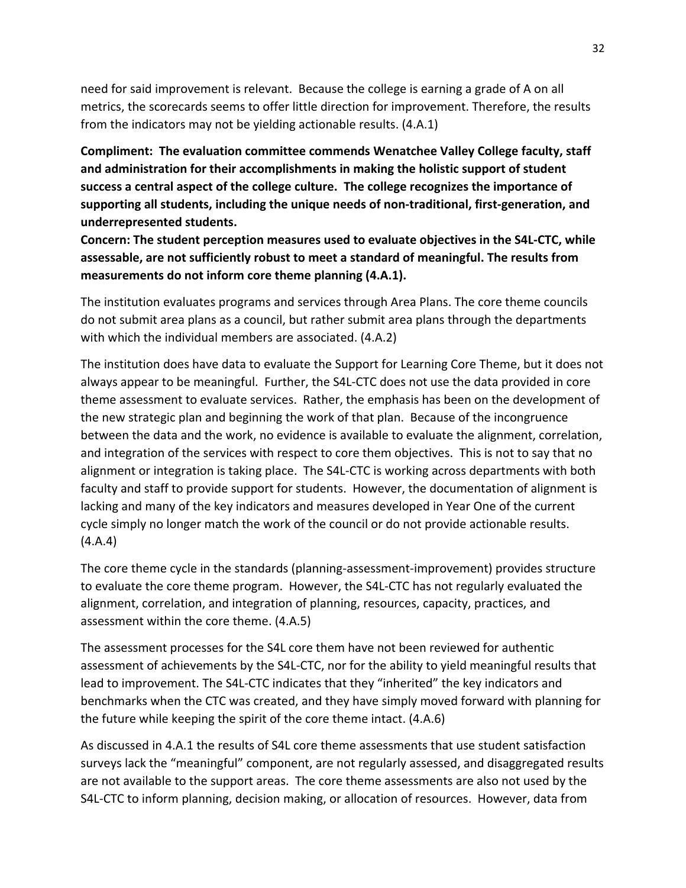need for said improvement is relevant. Because the college is earning a grade of A on all metrics, the scorecards seems to offer little direction for improvement. Therefore, the results from the indicators may not be yielding actionable results. (4.A.1)

**Compliment: The evaluation committee commends Wenatchee Valley College faculty, staff and administration for their accomplishments in making the holistic support of student success a central aspect of the college culture. The college recognizes the importance of supporting all students, including the unique needs of non‐traditional, first‐generation, and underrepresented students.**

**Concern: The student perception measures used to evaluate objectives in the S4L‐CTC, while assessable, are not sufficiently robust to meet a standard of meaningful. The results from measurements do not inform core theme planning (4.A.1).**

The institution evaluates programs and services through Area Plans. The core theme councils do not submit area plans as a council, but rather submit area plans through the departments with which the individual members are associated. (4.A.2)

The institution does have data to evaluate the Support for Learning Core Theme, but it does not always appear to be meaningful. Further, the S4L‐CTC does not use the data provided in core theme assessment to evaluate services. Rather, the emphasis has been on the development of the new strategic plan and beginning the work of that plan. Because of the incongruence between the data and the work, no evidence is available to evaluate the alignment, correlation, and integration of the services with respect to core them objectives. This is not to say that no alignment or integration is taking place. The S4L‐CTC is working across departments with both faculty and staff to provide support for students. However, the documentation of alignment is lacking and many of the key indicators and measures developed in Year One of the current cycle simply no longer match the work of the council or do not provide actionable results. (4.A.4)

The core theme cycle in the standards (planning‐assessment‐improvement) provides structure to evaluate the core theme program. However, the S4L‐CTC has not regularly evaluated the alignment, correlation, and integration of planning, resources, capacity, practices, and assessment within the core theme. (4.A.5)

The assessment processes for the S4L core them have not been reviewed for authentic assessment of achievements by the S4L‐CTC, nor for the ability to yield meaningful results that lead to improvement. The S4L‐CTC indicates that they "inherited" the key indicators and benchmarks when the CTC was created, and they have simply moved forward with planning for the future while keeping the spirit of the core theme intact. (4.A.6)

As discussed in 4.A.1 the results of S4L core theme assessments that use student satisfaction surveys lack the "meaningful" component, are not regularly assessed, and disaggregated results are not available to the support areas. The core theme assessments are also not used by the S4L‐CTC to inform planning, decision making, or allocation of resources. However, data from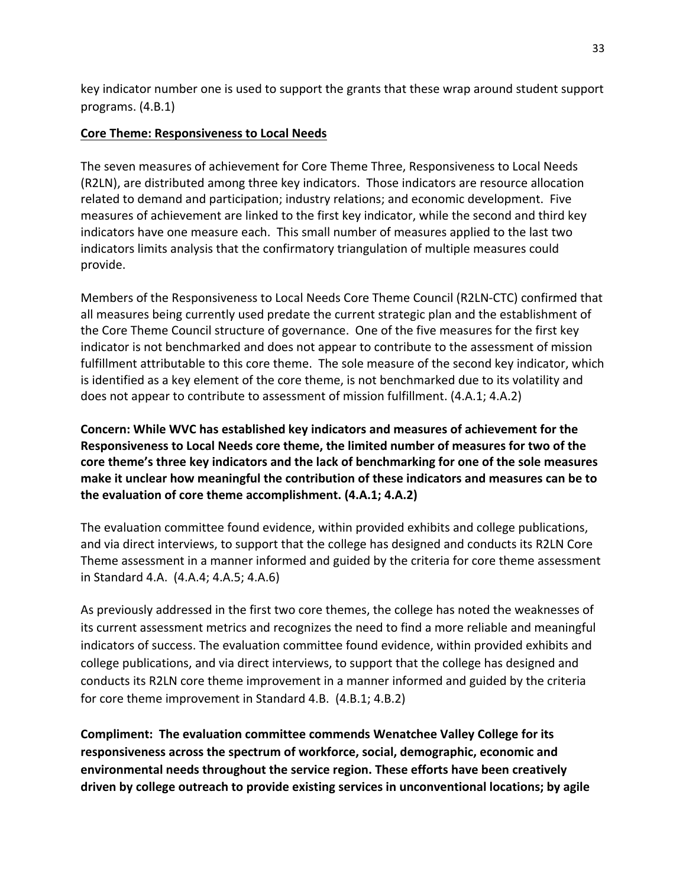key indicator number one is used to support the grants that these wrap around student support programs. (4.B.1)

#### **Core Theme: Responsiveness to Local Needs**

The seven measures of achievement for Core Theme Three, Responsiveness to Local Needs (R2LN), are distributed among three key indicators. Those indicators are resource allocation related to demand and participation; industry relations; and economic development. Five measures of achievement are linked to the first key indicator, while the second and third key indicators have one measure each. This small number of measures applied to the last two indicators limits analysis that the confirmatory triangulation of multiple measures could provide.

Members of the Responsiveness to Local Needs Core Theme Council (R2LN‐CTC) confirmed that all measures being currently used predate the current strategic plan and the establishment of the Core Theme Council structure of governance. One of the five measures for the first key indicator is not benchmarked and does not appear to contribute to the assessment of mission fulfillment attributable to this core theme. The sole measure of the second key indicator, which is identified as a key element of the core theme, is not benchmarked due to its volatility and does not appear to contribute to assessment of mission fulfillment. (4.A.1; 4.A.2)

**Concern: While WVC has established key indicators and measures of achievement for the Responsiveness to Local Needs core theme, the limited number of measures for two of the core theme's three key indicators and the lack of benchmarking for one of the sole measures make it unclear how meaningful the contribution of these indicators and measures can be to the evaluation of core theme accomplishment. (4.A.1; 4.A.2)**

The evaluation committee found evidence, within provided exhibits and college publications, and via direct interviews, to support that the college has designed and conducts its R2LN Core Theme assessment in a manner informed and guided by the criteria for core theme assessment in Standard 4.A. (4.A.4; 4.A.5; 4.A.6)

As previously addressed in the first two core themes, the college has noted the weaknesses of its current assessment metrics and recognizes the need to find a more reliable and meaningful indicators of success. The evaluation committee found evidence, within provided exhibits and college publications, and via direct interviews, to support that the college has designed and conducts its R2LN core theme improvement in a manner informed and guided by the criteria for core theme improvement in Standard 4.B. (4.B.1; 4.B.2)

**Compliment: The evaluation committee commends Wenatchee Valley College for its responsiveness across the spectrum of workforce, social, demographic, economic and environmental needs throughout the service region. These efforts have been creatively driven by college outreach to provide existing services in unconventional locations; by agile**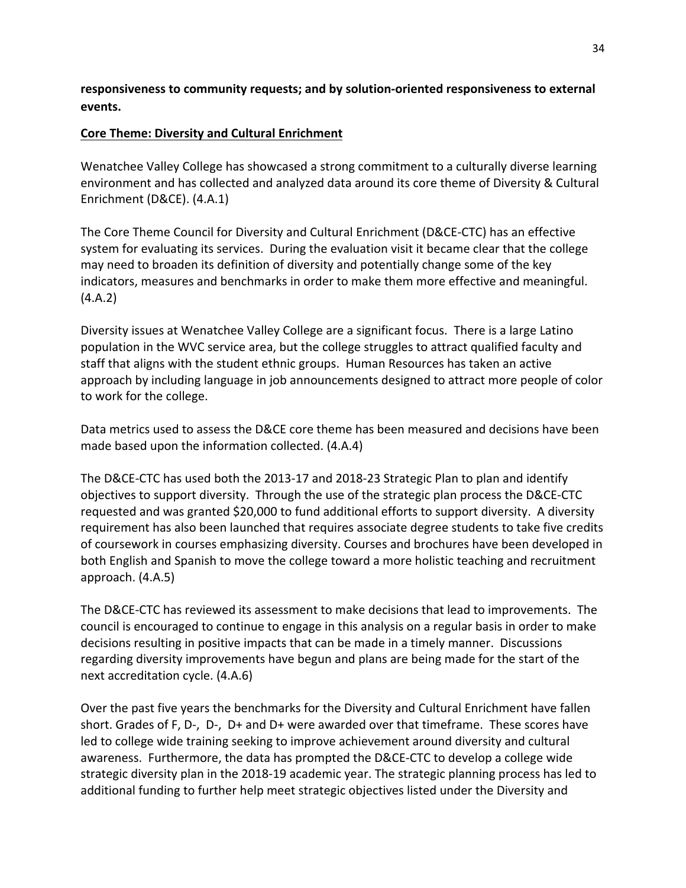**responsiveness to community requests; and by solution‐oriented responsiveness to external events.**

#### **Core Theme: Diversity and Cultural Enrichment**

Wenatchee Valley College has showcased a strong commitment to a culturally diverse learning environment and has collected and analyzed data around its core theme of Diversity & Cultural Enrichment (D&CE). (4.A.1)

The Core Theme Council for Diversity and Cultural Enrichment (D&CE‐CTC) has an effective system for evaluating its services. During the evaluation visit it became clear that the college may need to broaden its definition of diversity and potentially change some of the key indicators, measures and benchmarks in order to make them more effective and meaningful. (4.A.2)

Diversity issues at Wenatchee Valley College are a significant focus. There is a large Latino population in the WVC service area, but the college struggles to attract qualified faculty and staff that aligns with the student ethnic groups. Human Resources has taken an active approach by including language in job announcements designed to attract more people of color to work for the college.

Data metrics used to assess the D&CE core theme has been measured and decisions have been made based upon the information collected. (4.A.4)

The D&CE‐CTC has used both the 2013‐17 and 2018‐23 Strategic Plan to plan and identify objectives to support diversity. Through the use of the strategic plan process the D&CE‐CTC requested and was granted \$20,000 to fund additional efforts to support diversity. A diversity requirement has also been launched that requires associate degree students to take five credits of coursework in courses emphasizing diversity. Courses and brochures have been developed in both English and Spanish to move the college toward a more holistic teaching and recruitment approach. (4.A.5)

The D&CE‐CTC has reviewed its assessment to make decisions that lead to improvements. The council is encouraged to continue to engage in this analysis on a regular basis in order to make decisions resulting in positive impacts that can be made in a timely manner. Discussions regarding diversity improvements have begun and plans are being made for the start of the next accreditation cycle. (4.A.6)

Over the past five years the benchmarks for the Diversity and Cultural Enrichment have fallen short. Grades of F, D-, D-, D+ and D+ were awarded over that timeframe. These scores have led to college wide training seeking to improve achievement around diversity and cultural awareness. Furthermore, the data has prompted the D&CE‐CTC to develop a college wide strategic diversity plan in the 2018‐19 academic year. The strategic planning process has led to additional funding to further help meet strategic objectives listed under the Diversity and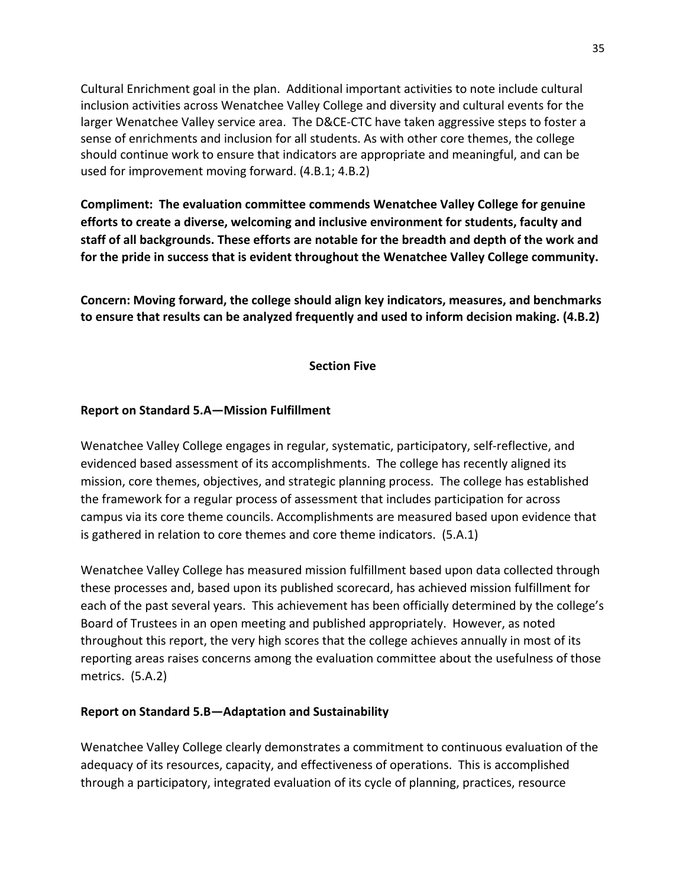Cultural Enrichment goal in the plan. Additional important activities to note include cultural inclusion activities across Wenatchee Valley College and diversity and cultural events for the larger Wenatchee Valley service area. The D&CE‐CTC have taken aggressive steps to foster a sense of enrichments and inclusion for all students. As with other core themes, the college should continue work to ensure that indicators are appropriate and meaningful, and can be used for improvement moving forward. (4.B.1; 4.B.2)

**Compliment: The evaluation committee commends Wenatchee Valley College for genuine efforts to create a diverse, welcoming and inclusive environment for students, faculty and staff of all backgrounds. These efforts are notable for the breadth and depth of the work and for the pride in success that is evident throughout the Wenatchee Valley College community.** 

**Concern: Moving forward, the college should align key indicators, measures, and benchmarks to ensure that results can be analyzed frequently and used to inform decision making. (4.B.2)**

#### **Section Five**

#### **Report on Standard 5.A—Mission Fulfillment**

Wenatchee Valley College engages in regular, systematic, participatory, self‐reflective, and evidenced based assessment of its accomplishments. The college has recently aligned its mission, core themes, objectives, and strategic planning process. The college has established the framework for a regular process of assessment that includes participation for across campus via its core theme councils. Accomplishments are measured based upon evidence that is gathered in relation to core themes and core theme indicators. (5.A.1)

Wenatchee Valley College has measured mission fulfillment based upon data collected through these processes and, based upon its published scorecard, has achieved mission fulfillment for each of the past several years. This achievement has been officially determined by the college's Board of Trustees in an open meeting and published appropriately. However, as noted throughout this report, the very high scores that the college achieves annually in most of its reporting areas raises concerns among the evaluation committee about the usefulness of those metrics. (5.A.2)

#### **Report on Standard 5.B—Adaptation and Sustainability**

Wenatchee Valley College clearly demonstrates a commitment to continuous evaluation of the adequacy of its resources, capacity, and effectiveness of operations. This is accomplished through a participatory, integrated evaluation of its cycle of planning, practices, resource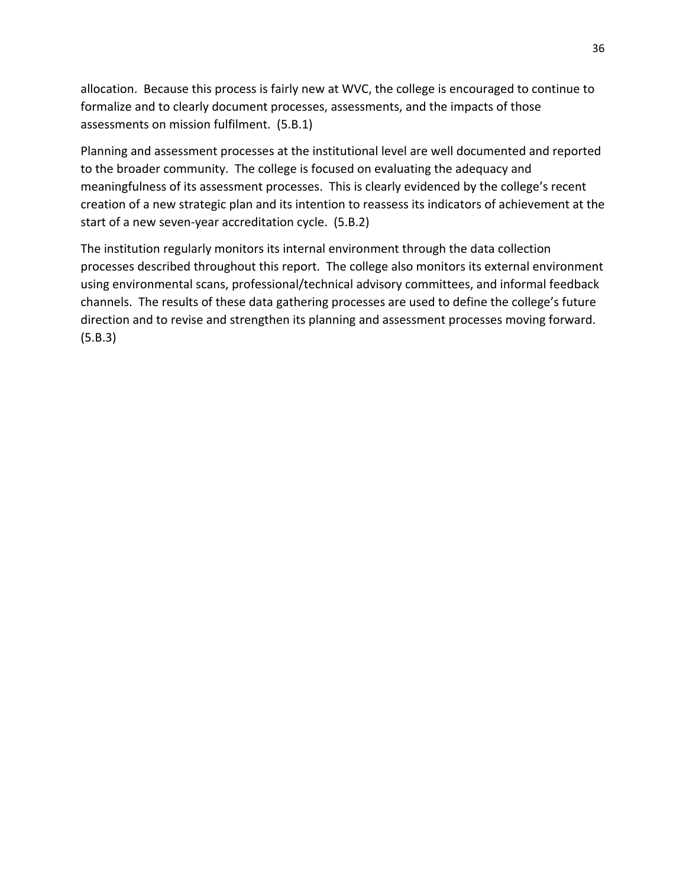allocation. Because this process is fairly new at WVC, the college is encouraged to continue to formalize and to clearly document processes, assessments, and the impacts of those assessments on mission fulfilment. (5.B.1)

Planning and assessment processes at the institutional level are well documented and reported to the broader community. The college is focused on evaluating the adequacy and meaningfulness of its assessment processes. This is clearly evidenced by the college's recent creation of a new strategic plan and its intention to reassess its indicators of achievement at the start of a new seven-year accreditation cycle. (5.B.2)

The institution regularly monitors its internal environment through the data collection processes described throughout this report. The college also monitors its external environment using environmental scans, professional/technical advisory committees, and informal feedback channels. The results of these data gathering processes are used to define the college's future direction and to revise and strengthen its planning and assessment processes moving forward. (5.B.3)